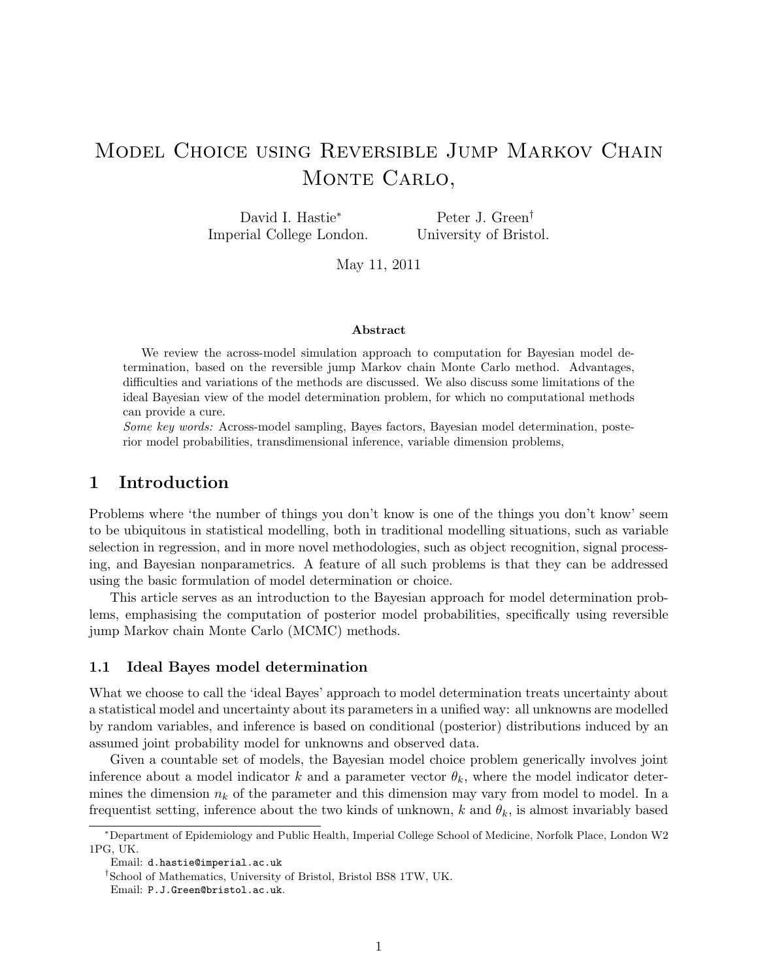# Model Choice using Reversible Jump Markov Chain MONTE CARLO,

David I. Hastie<sup>∗</sup> Imperial College London.

Peter J. Green† University of Bristol.

May 11, 2011

#### Abstract

We review the across-model simulation approach to computation for Bayesian model determination, based on the reversible jump Markov chain Monte Carlo method. Advantages, difficulties and variations of the methods are discussed. We also discuss some limitations of the ideal Bayesian view of the model determination problem, for which no computational methods can provide a cure.

Some key words: Across-model sampling, Bayes factors, Bayesian model determination, posterior model probabilities, transdimensional inference, variable dimension problems,

# 1 Introduction

Problems where 'the number of things you don't know is one of the things you don't know' seem to be ubiquitous in statistical modelling, both in traditional modelling situations, such as variable selection in regression, and in more novel methodologies, such as object recognition, signal processing, and Bayesian nonparametrics. A feature of all such problems is that they can be addressed using the basic formulation of model determination or choice.

This article serves as an introduction to the Bayesian approach for model determination problems, emphasising the computation of posterior model probabilities, specifically using reversible jump Markov chain Monte Carlo (MCMC) methods.

## 1.1 Ideal Bayes model determination

What we choose to call the 'ideal Bayes' approach to model determination treats uncertainty about a statistical model and uncertainty about its parameters in a unified way: all unknowns are modelled by random variables, and inference is based on conditional (posterior) distributions induced by an assumed joint probability model for unknowns and observed data.

Given a countable set of models, the Bayesian model choice problem generically involves joint inference about a model indicator k and a parameter vector  $\theta_k$ , where the model indicator determines the dimension  $n_k$  of the parameter and this dimension may vary from model to model. In a frequentist setting, inference about the two kinds of unknown, k and  $\theta_k$ , is almost invariably based

<sup>∗</sup>Department of Epidemiology and Public Health, Imperial College School of Medicine, Norfolk Place, London W2 1PG, UK.

Email: d.hastie@imperial.ac.uk

<sup>†</sup>School of Mathematics, University of Bristol, Bristol BS8 1TW, UK.

Email: P.J.Green@bristol.ac.uk.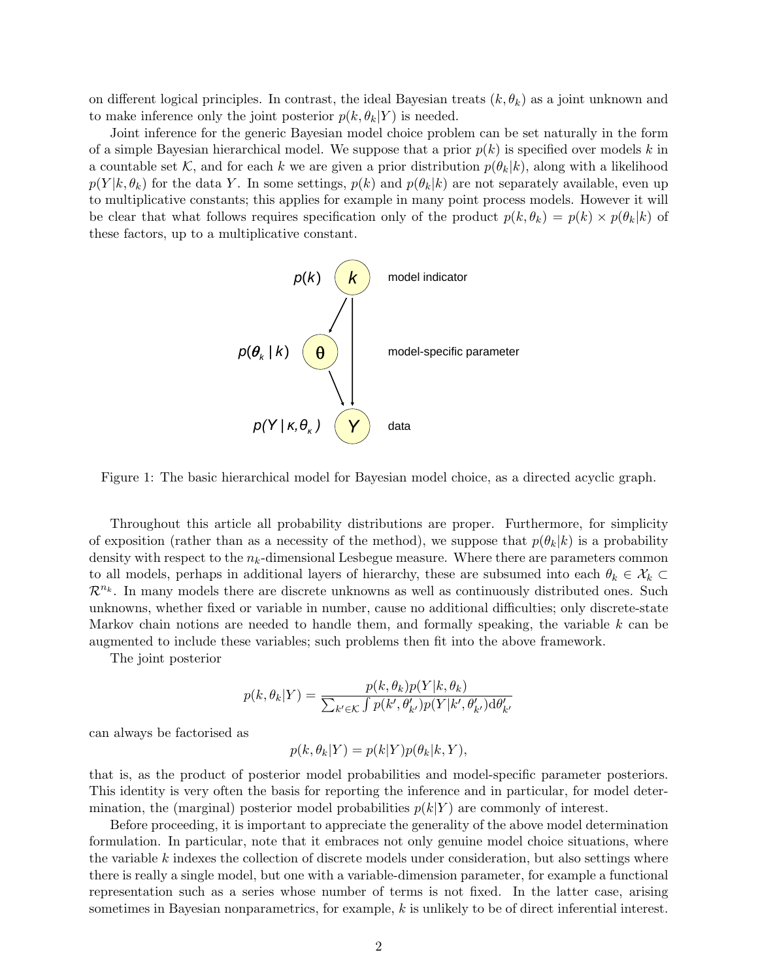on different logical principles. In contrast, the ideal Bayesian treats  $(k, \theta_k)$  as a joint unknown and to make inference only the joint posterior  $p(k, \theta_k|Y)$  is needed.

Joint inference for the generic Bayesian model choice problem can be set naturally in the form of a simple Bayesian hierarchical model. We suppose that a prior  $p(k)$  is specified over models k in a countable set K, and for each k we are given a prior distribution  $p(\theta_k|k)$ , along with a likelihood  $p(Y|k, \theta_k)$  for the data Y. In some settings,  $p(k)$  and  $p(\theta_k|k)$  are not separately available, even up to multiplicative constants; this applies for example in many point process models. However it will be clear that what follows requires specification only of the product  $p(k, \theta_k) = p(k) \times p(\theta_k|k)$  of these factors, up to a multiplicative constant.



Figure 1: The basic hierarchical model for Bayesian model choice, as a directed acyclic graph.

Throughout this article all probability distributions are proper. Furthermore, for simplicity of exposition (rather than as a necessity of the method), we suppose that  $p(\theta_k|k)$  is a probability density with respect to the  $n_k$ -dimensional Lesbegue measure. Where there are parameters common to all models, perhaps in additional layers of hierarchy, these are subsumed into each  $\theta_k \in \mathcal{X}_k$  $\mathcal{R}^{n_k}$ . In many models there are discrete unknowns as well as continuously distributed ones. Such unknowns, whether fixed or variable in number, cause no additional difficulties; only discrete-state Markov chain notions are needed to handle them, and formally speaking, the variable  $k$  can be augmented to include these variables; such problems then fit into the above framework.

The joint posterior

$$
p(k, \theta_k | Y) = \frac{p(k, \theta_k)p(Y|k, \theta_k)}{\sum_{k' \in \mathcal{K}} \int p(k', \theta'_{k'})p(Y|k', \theta'_{k'})\mathrm{d}\theta'_{k'}}
$$

can always be factorised as

$$
p(k, \theta_k | Y) = p(k|Y)p(\theta_k | k, Y),
$$

that is, as the product of posterior model probabilities and model-specific parameter posteriors. This identity is very often the basis for reporting the inference and in particular, for model determination, the (marginal) posterior model probabilities  $p(k|Y)$  are commonly of interest.

Before proceeding, it is important to appreciate the generality of the above model determination formulation. In particular, note that it embraces not only genuine model choice situations, where the variable  $k$  indexes the collection of discrete models under consideration, but also settings where there is really a single model, but one with a variable-dimension parameter, for example a functional representation such as a series whose number of terms is not fixed. In the latter case, arising sometimes in Bayesian nonparametrics, for example, k is unlikely to be of direct inferential interest.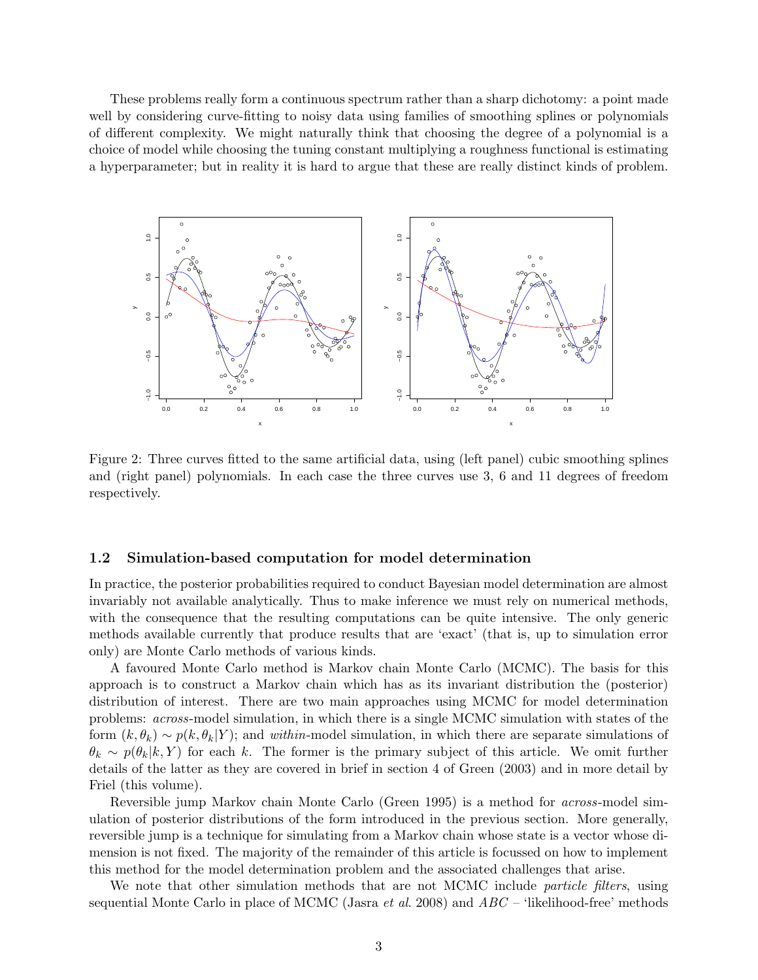These problems really form a continuous spectrum rather than a sharp dichotomy: a point made well by considering curve-fitting to noisy data using families of smoothing splines or polynomials of different complexity. We might naturally think that choosing the degree of a polynomial is a choice of model while choosing the tuning constant multiplying a roughness functional is estimating a hyperparameter; but in reality it is hard to argue that these are really distinct kinds of problem.



Figure 2: Three curves fitted to the same artificial data, using (left panel) cubic smoothing splines and (right panel) polynomials. In each case the three curves use 3, 6 and 11 degrees of freedom respectively.

## 1.2 Simulation-based computation for model determination

In practice, the posterior probabilities required to conduct Bayesian model determination are almost invariably not available analytically. Thus to make inference we must rely on numerical methods, with the consequence that the resulting computations can be quite intensive. The only generic methods available currently that produce results that are 'exact' (that is, up to simulation error only) are Monte Carlo methods of various kinds.

A favoured Monte Carlo method is Markov chain Monte Carlo (MCMC). The basis for this approach is to construct a Markov chain which has as its invariant distribution the (posterior) distribution of interest. There are two main approaches using MCMC for model determination problems: across-model simulation, in which there is a single MCMC simulation with states of the form  $(k, \theta_k) \sim p(k, \theta_k|Y)$ ; and within-model simulation, in which there are separate simulations of  $\theta_k \sim p(\theta_k|k, Y)$  for each k. The former is the primary subject of this article. We omit further details of the latter as they are covered in brief in section 4 of Green (2003) and in more detail by Friel (this volume).

Reversible jump Markov chain Monte Carlo (Green 1995) is a method for across-model simulation of posterior distributions of the form introduced in the previous section. More generally, reversible jump is a technique for simulating from a Markov chain whose state is a vector whose dimension is not fixed. The majority of the remainder of this article is focussed on how to implement this method for the model determination problem and the associated challenges that arise.

We note that other simulation methods that are not MCMC include *particle filters*, using sequential Monte Carlo in place of MCMC (Jasra *et al.* 2008) and  $ABC$  – 'likelihood-free' methods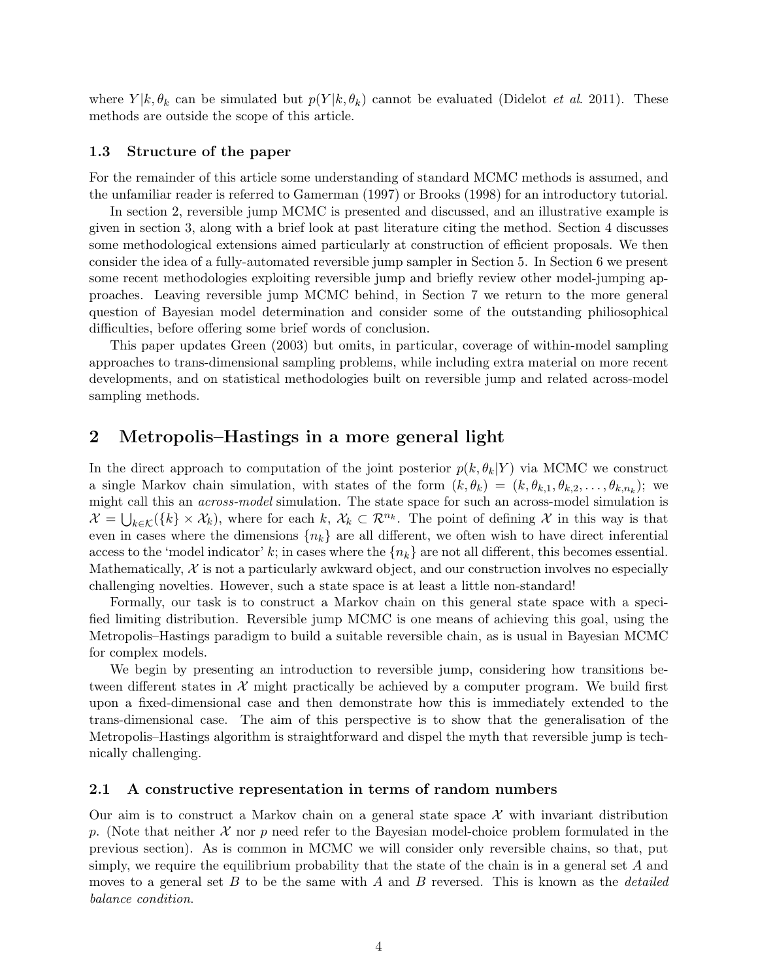where  $Y | k, \theta_k$  can be simulated but  $p(Y | k, \theta_k)$  cannot be evaluated (Didelot *et al.* 2011). These methods are outside the scope of this article.

## 1.3 Structure of the paper

For the remainder of this article some understanding of standard MCMC methods is assumed, and the unfamiliar reader is referred to Gamerman (1997) or Brooks (1998) for an introductory tutorial.

In section 2, reversible jump MCMC is presented and discussed, and an illustrative example is given in section 3, along with a brief look at past literature citing the method. Section 4 discusses some methodological extensions aimed particularly at construction of efficient proposals. We then consider the idea of a fully-automated reversible jump sampler in Section 5. In Section 6 we present some recent methodologies exploiting reversible jump and briefly review other model-jumping approaches. Leaving reversible jump MCMC behind, in Section 7 we return to the more general question of Bayesian model determination and consider some of the outstanding philiosophical difficulties, before offering some brief words of conclusion.

This paper updates Green (2003) but omits, in particular, coverage of within-model sampling approaches to trans-dimensional sampling problems, while including extra material on more recent developments, and on statistical methodologies built on reversible jump and related across-model sampling methods.

# 2 Metropolis–Hastings in a more general light

In the direct approach to computation of the joint posterior  $p(k, \theta_k|Y)$  via MCMC we construct a single Markov chain simulation, with states of the form  $(k, \theta_k) = (k, \theta_{k,1}, \theta_{k,2}, \dots, \theta_{k,n_k})$ ; we might call this an across-model simulation. The state space for such an across-model simulation is  $\mathcal{X} = \bigcup_{k \in \mathcal{K}} (\{k\} \times \mathcal{X}_k)$ , where for each k,  $\mathcal{X}_k \subset \mathcal{R}^{n_k}$ . The point of defining X in this way is that even in cases where the dimensions  ${n_k}$  are all different, we often wish to have direct inferential access to the 'model indicator' k; in cases where the  $\{n_k\}$  are not all different, this becomes essential. Mathematically,  $\mathcal X$  is not a particularly awkward object, and our construction involves no especially challenging novelties. However, such a state space is at least a little non-standard!

Formally, our task is to construct a Markov chain on this general state space with a specified limiting distribution. Reversible jump MCMC is one means of achieving this goal, using the Metropolis–Hastings paradigm to build a suitable reversible chain, as is usual in Bayesian MCMC for complex models.

We begin by presenting an introduction to reversible jump, considering how transitions between different states in  $\mathcal X$  might practically be achieved by a computer program. We build first upon a fixed-dimensional case and then demonstrate how this is immediately extended to the trans-dimensional case. The aim of this perspective is to show that the generalisation of the Metropolis–Hastings algorithm is straightforward and dispel the myth that reversible jump is technically challenging.

## 2.1 A constructive representation in terms of random numbers

Our aim is to construct a Markov chain on a general state space  $\mathcal X$  with invariant distribution p. (Note that neither  $\mathcal X$  nor p need refer to the Bayesian model-choice problem formulated in the previous section). As is common in MCMC we will consider only reversible chains, so that, put simply, we require the equilibrium probability that the state of the chain is in a general set  $A$  and moves to a general set B to be the same with A and B reversed. This is known as the *detailed* balance condition.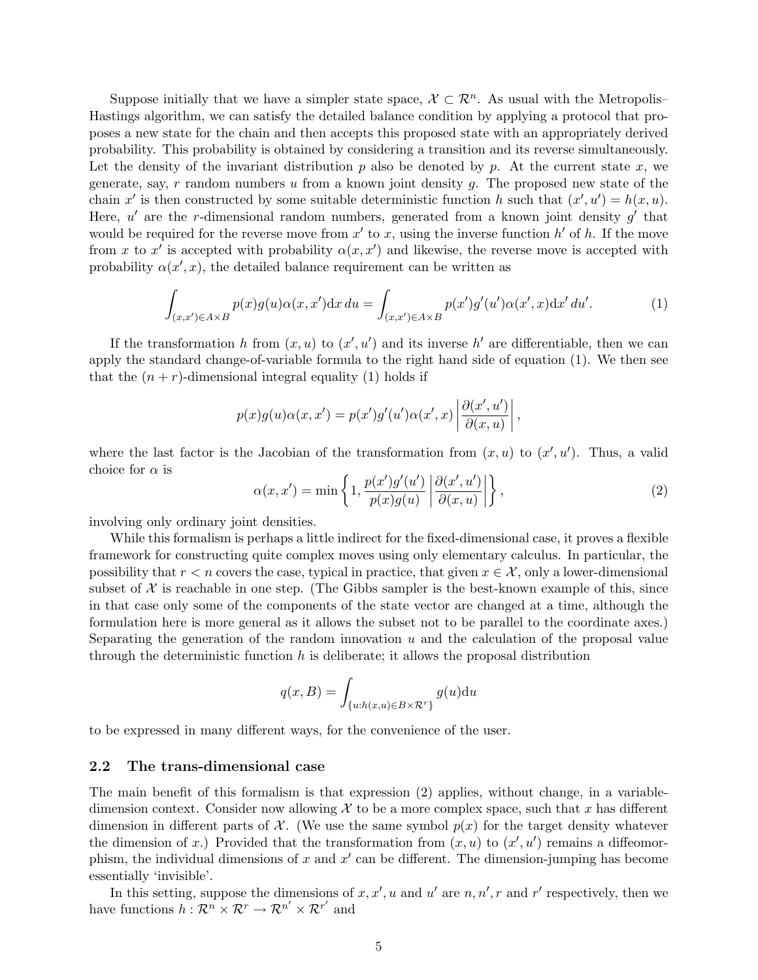Suppose initially that we have a simpler state space,  $\mathcal{X} \subset \mathcal{R}^n$ . As usual with the Metropolis– Hastings algorithm, we can satisfy the detailed balance condition by applying a protocol that proposes a new state for the chain and then accepts this proposed state with an appropriately derived probability. This probability is obtained by considering a transition and its reverse simultaneously. Let the density of the invariant distribution  $p$  also be denoted by  $p$ . At the current state  $x$ , we generate, say,  $r$  random numbers  $u$  from a known joint density  $g$ . The proposed new state of the chain x' is then constructed by some suitable deterministic function h such that  $(x', u') = h(x, u)$ . Here,  $u'$  are the r-dimensional random numbers, generated from a known joint density  $g'$  that would be required for the reverse move from  $x'$  to x, using the inverse function  $h'$  of h. If the move from x to x' is accepted with probability  $\alpha(x, x')$  and likewise, the reverse move is accepted with probability  $\alpha(x',x)$ , the detailed balance requirement can be written as

$$
\int_{(x,x')\in A\times B} p(x)g(u)\alpha(x,x')\mathrm{d}x\,du = \int_{(x,x')\in A\times B} p(x')g'(u')\alpha(x',x)\mathrm{d}x'\,du'.\tag{1}
$$

If the transformation h from  $(x, u)$  to  $(x', u')$  and its inverse h' are differentiable, then we can apply the standard change-of-variable formula to the right hand side of equation (1). We then see that the  $(n + r)$ -dimensional integral equality (1) holds if

$$
p(x)g(u)\alpha(x,x') = p(x')g'(u')\alpha(x',x)\left|\frac{\partial(x',u')}{\partial(x,u)}\right|,
$$

where the last factor is the Jacobian of the transformation from  $(x, u)$  to  $(x', u')$ . Thus, a valid choice for  $\alpha$  is

$$
\alpha(x, x') = \min\left\{1, \frac{p(x')g'(u')}{p(x)g(u)} \left| \frac{\partial(x', u')}{\partial(x, u)} \right| \right\},\tag{2}
$$

involving only ordinary joint densities.

While this formalism is perhaps a little indirect for the fixed-dimensional case, it proves a flexible framework for constructing quite complex moves using only elementary calculus. In particular, the possibility that  $r < n$  covers the case, typical in practice, that given  $x \in \mathcal{X}$ , only a lower-dimensional subset of  $\mathcal X$  is reachable in one step. (The Gibbs sampler is the best-known example of this, since in that case only some of the components of the state vector are changed at a time, although the formulation here is more general as it allows the subset not to be parallel to the coordinate axes.) Separating the generation of the random innovation  $u$  and the calculation of the proposal value through the deterministic function  $h$  is deliberate; it allows the proposal distribution

$$
q(x, B) = \int_{\{u:h(x, u) \in B \times \mathcal{R}^r\}} g(u) \mathrm{d}u
$$

to be expressed in many different ways, for the convenience of the user.

#### 2.2 The trans-dimensional case

The main benefit of this formalism is that expression (2) applies, without change, in a variabledimension context. Consider now allowing  $\mathcal X$  to be a more complex space, such that x has different dimension in different parts of  $\mathcal{X}$ . (We use the same symbol  $p(x)$  for the target density whatever the dimension of x.) Provided that the transformation from  $(x, u)$  to  $(x', u')$  remains a diffeomorphism, the individual dimensions of x and  $x'$  can be different. The dimension-jumping has become essentially 'invisible'.

In this setting, suppose the dimensions of  $x, x', u$  and u' are  $n, n', r$  and r' respectively, then we have functions  $h: \mathcal{R}^n \times \mathcal{R}^r \to \mathcal{R}^{n'} \times \mathcal{R}^{r'}$  and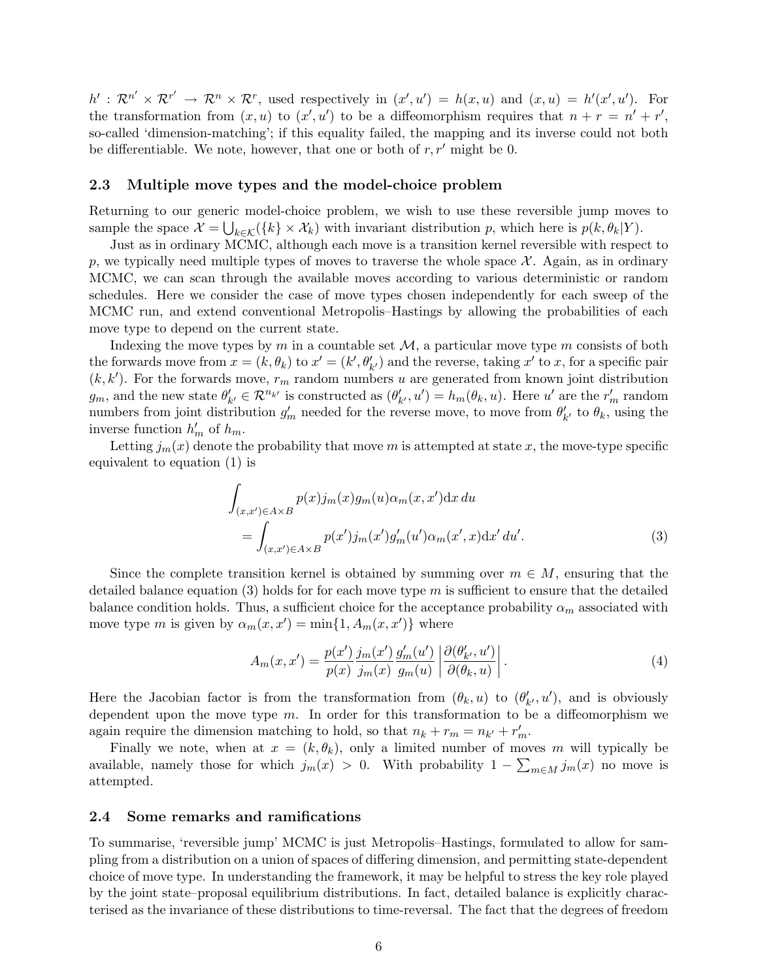$h': \mathcal{R}^{n'} \times \mathcal{R}^{r'} \to \mathcal{R}^n \times \mathcal{R}^r$ , used respectively in  $(x', u') = h(x, u)$  and  $(x, u) = h'(x', u')$ . For the transformation from  $(x, u)$  to  $(x', u')$  to be a diffeomorphism requires that  $n + r = n' + r'$ , so-called 'dimension-matching'; if this equality failed, the mapping and its inverse could not both be differentiable. We note, however, that one or both of  $r, r'$  might be 0.

#### 2.3 Multiple move types and the model-choice problem

Returning to our generic model-choice problem, we wish to use these reversible jump moves to sample the space  $\mathcal{X} = \bigcup_{k \in \mathcal{K}} (\{k\} \times \mathcal{X}_k)$  with invariant distribution p, which here is  $p(k, \theta_k | Y)$ .

Just as in ordinary MCMC, although each move is a transition kernel reversible with respect to p, we typically need multiple types of moves to traverse the whole space  $\mathcal{X}$ . Again, as in ordinary MCMC, we can scan through the available moves according to various deterministic or random schedules. Here we consider the case of move types chosen independently for each sweep of the MCMC run, and extend conventional Metropolis–Hastings by allowing the probabilities of each move type to depend on the current state.

Indexing the move types by m in a countable set  $\mathcal{M}$ , a particular move type m consists of both the forwards move from  $x = (k, \theta_k)$  to  $x' = (k', \theta'_{k'})$  and the reverse, taking  $x'$  to x, for a specific pair  $(k, k')$ . For the forwards move,  $r_m$  random numbers u are generated from known joint distribution  $g_m$ , and the new state  $\theta'_{k'} \in \mathcal{R}^{n_{k'}}$  is constructed as  $(\theta'_{k'}, u') = h_m(\theta_k, u)$ . Here u' are the  $r'_m$  random numbers from joint distribution  $g'_m$  needed for the reverse move, to move from  $\theta'_{k'}$  to  $\theta_k$ , using the inverse function  $h'_m$  of  $h_m$ .

Letting  $j_m(x)$  denote the probability that move m is attempted at state x, the move-type specific equivalent to equation (1) is

$$
\int_{(x,x')\in A\times B} p(x)j_m(x)g_m(u)\alpha_m(x,x')\mathrm{d}x\,du
$$
\n
$$
= \int_{(x,x')\in A\times B} p(x')j_m(x')g'_m(u')\alpha_m(x',x)\mathrm{d}x'\,du'.\tag{3}
$$

Since the complete transition kernel is obtained by summing over  $m \in M$ , ensuring that the detailed balance equation  $(3)$  holds for for each move type m is sufficient to ensure that the detailed balance condition holds. Thus, a sufficient choice for the acceptance probability  $\alpha_m$  associated with move type m is given by  $\alpha_m(x, x') = \min\{1, A_m(x, x')\}$  where

$$
A_m(x, x') = \frac{p(x')}{p(x)} \frac{j_m(x')}{j_m(x)} \frac{g'_m(u')}{g_m(u)} \left| \frac{\partial(\theta'_{k'}, u')}{\partial(\theta_k, u)} \right|.
$$
 (4)

Here the Jacobian factor is from the transformation from  $(\theta_k, u)$  to  $(\theta'_{k'}, u')$ , and is obviously dependent upon the move type  $m$ . In order for this transformation to be a diffeomorphism we again require the dimension matching to hold, so that  $n_k + r_m = n_{k'} + r'_m$ .

Finally we note, when at  $x = (k, \theta_k)$ , only a limited number of moves m will typically be available, namely those for which  $j_m(x) > 0$ . With probability  $1 - \sum_{m \in M} j_m(x)$  no move is attempted.

## 2.4 Some remarks and ramifications

To summarise, 'reversible jump' MCMC is just Metropolis–Hastings, formulated to allow for sampling from a distribution on a union of spaces of differing dimension, and permitting state-dependent choice of move type. In understanding the framework, it may be helpful to stress the key role played by the joint state–proposal equilibrium distributions. In fact, detailed balance is explicitly characterised as the invariance of these distributions to time-reversal. The fact that the degrees of freedom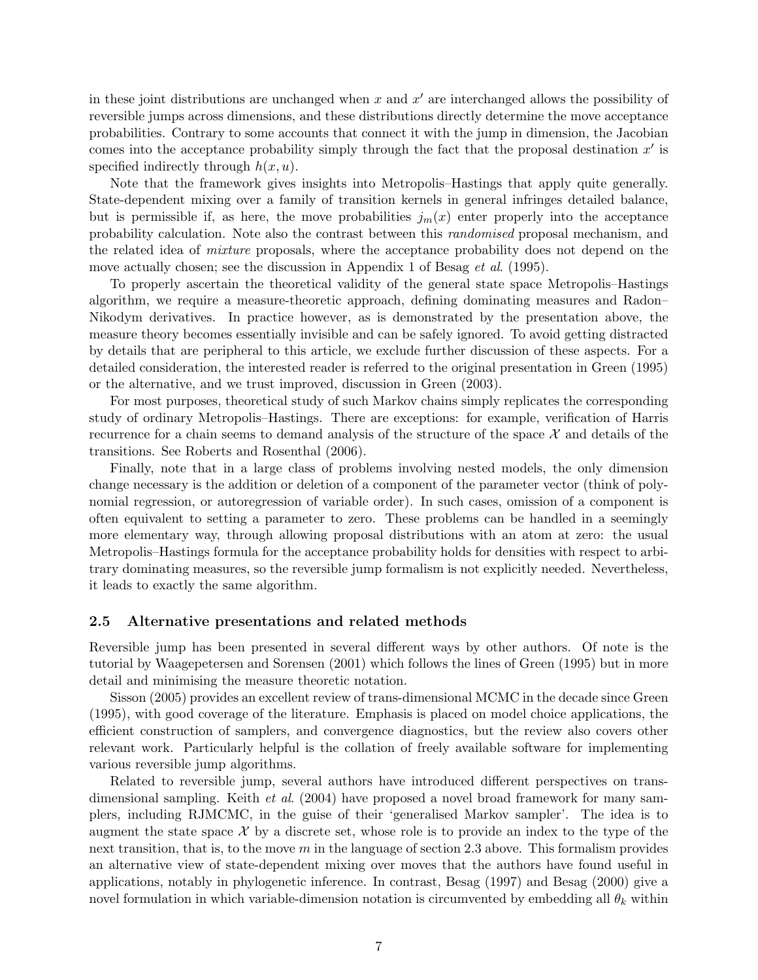in these joint distributions are unchanged when  $x$  and  $x'$  are interchanged allows the possibility of reversible jumps across dimensions, and these distributions directly determine the move acceptance probabilities. Contrary to some accounts that connect it with the jump in dimension, the Jacobian comes into the acceptance probability simply through the fact that the proposal destination  $x'$  is specified indirectly through  $h(x, u)$ .

Note that the framework gives insights into Metropolis–Hastings that apply quite generally. State-dependent mixing over a family of transition kernels in general infringes detailed balance, but is permissible if, as here, the move probabilities  $j_m(x)$  enter properly into the acceptance probability calculation. Note also the contrast between this randomised proposal mechanism, and the related idea of mixture proposals, where the acceptance probability does not depend on the move actually chosen; see the discussion in Appendix 1 of Besag *et al.* (1995).

To properly ascertain the theoretical validity of the general state space Metropolis–Hastings algorithm, we require a measure-theoretic approach, defining dominating measures and Radon– Nikodym derivatives. In practice however, as is demonstrated by the presentation above, the measure theory becomes essentially invisible and can be safely ignored. To avoid getting distracted by details that are peripheral to this article, we exclude further discussion of these aspects. For a detailed consideration, the interested reader is referred to the original presentation in Green (1995) or the alternative, and we trust improved, discussion in Green (2003).

For most purposes, theoretical study of such Markov chains simply replicates the corresponding study of ordinary Metropolis–Hastings. There are exceptions: for example, verification of Harris recurrence for a chain seems to demand analysis of the structure of the space  $\mathcal X$  and details of the transitions. See Roberts and Rosenthal (2006).

Finally, note that in a large class of problems involving nested models, the only dimension change necessary is the addition or deletion of a component of the parameter vector (think of polynomial regression, or autoregression of variable order). In such cases, omission of a component is often equivalent to setting a parameter to zero. These problems can be handled in a seemingly more elementary way, through allowing proposal distributions with an atom at zero: the usual Metropolis–Hastings formula for the acceptance probability holds for densities with respect to arbitrary dominating measures, so the reversible jump formalism is not explicitly needed. Nevertheless, it leads to exactly the same algorithm.

## 2.5 Alternative presentations and related methods

Reversible jump has been presented in several different ways by other authors. Of note is the tutorial by Waagepetersen and Sorensen (2001) which follows the lines of Green (1995) but in more detail and minimising the measure theoretic notation.

Sisson (2005) provides an excellent review of trans-dimensional MCMC in the decade since Green (1995), with good coverage of the literature. Emphasis is placed on model choice applications, the efficient construction of samplers, and convergence diagnostics, but the review also covers other relevant work. Particularly helpful is the collation of freely available software for implementing various reversible jump algorithms.

Related to reversible jump, several authors have introduced different perspectives on transdimensional sampling. Keith *et al.* (2004) have proposed a novel broad framework for many samplers, including RJMCMC, in the guise of their 'generalised Markov sampler'. The idea is to augment the state space  $\mathcal X$  by a discrete set, whose role is to provide an index to the type of the next transition, that is, to the move  $m$  in the language of section 2.3 above. This formalism provides an alternative view of state-dependent mixing over moves that the authors have found useful in applications, notably in phylogenetic inference. In contrast, Besag (1997) and Besag (2000) give a novel formulation in which variable-dimension notation is circumvented by embedding all  $\theta_k$  within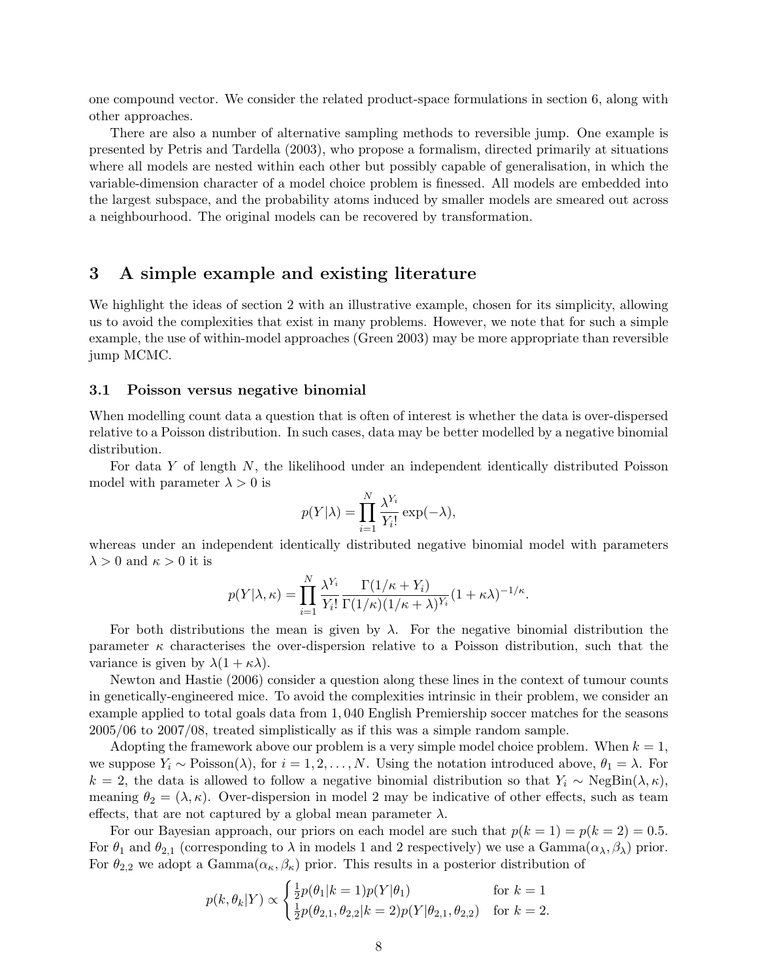one compound vector. We consider the related product-space formulations in section 6, along with other approaches.

There are also a number of alternative sampling methods to reversible jump. One example is presented by Petris and Tardella (2003), who propose a formalism, directed primarily at situations where all models are nested within each other but possibly capable of generalisation, in which the variable-dimension character of a model choice problem is finessed. All models are embedded into the largest subspace, and the probability atoms induced by smaller models are smeared out across a neighbourhood. The original models can be recovered by transformation.

# 3 A simple example and existing literature

We highlight the ideas of section 2 with an illustrative example, chosen for its simplicity, allowing us to avoid the complexities that exist in many problems. However, we note that for such a simple example, the use of within-model approaches (Green 2003) may be more appropriate than reversible jump MCMC.

#### 3.1 Poisson versus negative binomial

When modelling count data a question that is often of interest is whether the data is over-dispersed relative to a Poisson distribution. In such cases, data may be better modelled by a negative binomial distribution.

For data Y of length N, the likelihood under an independent identically distributed Poisson model with parameter  $\lambda > 0$  is

$$
p(Y|\lambda) = \prod_{i=1}^{N} \frac{\lambda^{Y_i}}{Y_i!} \exp(-\lambda),
$$

whereas under an independent identically distributed negative binomial model with parameters  $\lambda > 0$  and  $\kappa > 0$  it is

$$
p(Y|\lambda,\kappa) = \prod_{i=1}^{N} \frac{\lambda^{Y_i}}{Y_i!} \frac{\Gamma(1/\kappa + Y_i)}{\Gamma(1/\kappa)(1/\kappa + \lambda)^{Y_i}} (1 + \kappa \lambda)^{-1/\kappa}.
$$

For both distributions the mean is given by  $\lambda$ . For the negative binomial distribution the parameter  $\kappa$  characterises the over-dispersion relative to a Poisson distribution, such that the variance is given by  $\lambda(1 + \kappa \lambda)$ .

Newton and Hastie (2006) consider a question along these lines in the context of tumour counts in genetically-engineered mice. To avoid the complexities intrinsic in their problem, we consider an example applied to total goals data from 1, 040 English Premiership soccer matches for the seasons 2005/06 to 2007/08, treated simplistically as if this was a simple random sample.

Adopting the framework above our problem is a very simple model choice problem. When  $k = 1$ , we suppose  $Y_i \sim \text{Poisson}(\lambda)$ , for  $i = 1, 2, ..., N$ . Using the notation introduced above,  $\theta_1 = \lambda$ . For  $k = 2$ , the data is allowed to follow a negative binomial distribution so that  $Y_i \sim \text{NegBin}(\lambda, \kappa)$ , meaning  $\theta_2 = (\lambda, \kappa)$ . Over-dispersion in model 2 may be indicative of other effects, such as team effects, that are not captured by a global mean parameter  $\lambda$ .

For our Bayesian approach, our priors on each model are such that  $p(k = 1) = p(k = 2) = 0.5$ . For  $\theta_1$  and  $\theta_{2,1}$  (corresponding to  $\lambda$  in models 1 and 2 respectively) we use a Gamma $(\alpha_{\lambda}, \beta_{\lambda})$  prior. For  $\theta_{2,2}$  we adopt a Gamma $(\alpha_{\kappa}, \beta_{\kappa})$  prior. This results in a posterior distribution of

$$
p(k, \theta_k|Y) \propto \begin{cases} \frac{1}{2}p(\theta_1|k=1)p(Y|\theta_1) & \text{for } k=1\\ \frac{1}{2}p(\theta_{2,1}, \theta_{2,2}|k=2)p(Y|\theta_{2,1}, \theta_{2,2}) & \text{for } k=2. \end{cases}
$$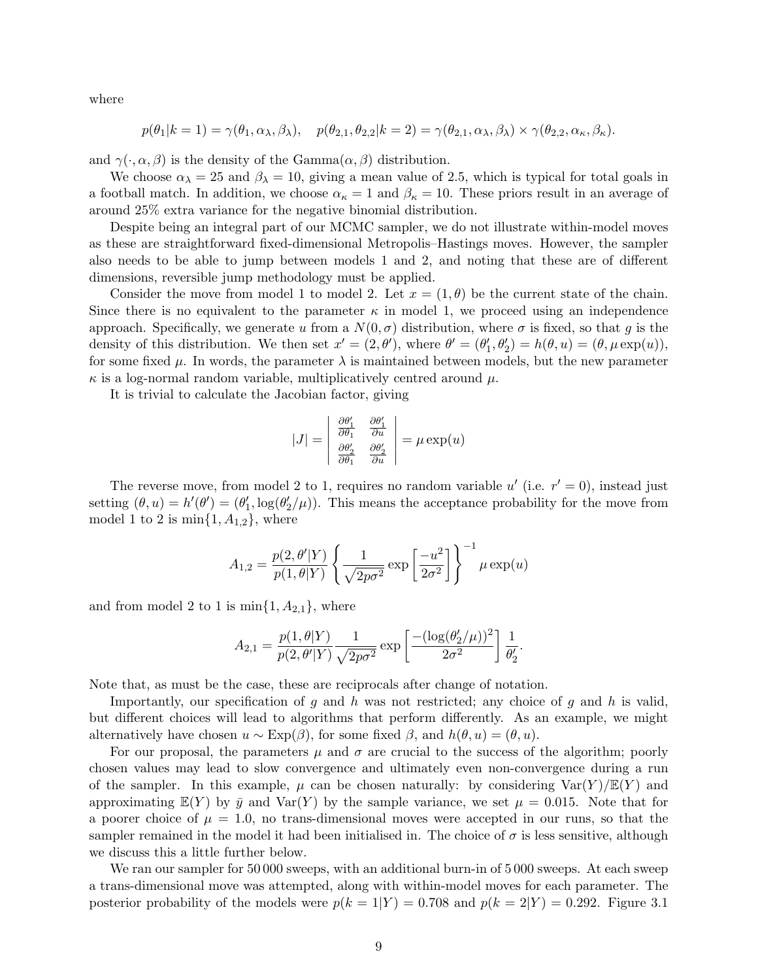where

$$
p(\theta_1|k=1) = \gamma(\theta_1, \alpha_\lambda, \beta_\lambda), \quad p(\theta_{2,1}, \theta_{2,2}|k=2) = \gamma(\theta_{2,1}, \alpha_\lambda, \beta_\lambda) \times \gamma(\theta_{2,2}, \alpha_\kappa, \beta_\kappa).
$$

and  $\gamma(\cdot, \alpha, \beta)$  is the density of the Gamma $(\alpha, \beta)$  distribution.

We choose  $\alpha_{\lambda} = 25$  and  $\beta_{\lambda} = 10$ , giving a mean value of 2.5, which is typical for total goals in a football match. In addition, we choose  $\alpha_{\kappa} = 1$  and  $\beta_{\kappa} = 10$ . These priors result in an average of around 25% extra variance for the negative binomial distribution.

Despite being an integral part of our MCMC sampler, we do not illustrate within-model moves as these are straightforward fixed-dimensional Metropolis–Hastings moves. However, the sampler also needs to be able to jump between models 1 and 2, and noting that these are of different dimensions, reversible jump methodology must be applied.

Consider the move from model 1 to model 2. Let  $x = (1, \theta)$  be the current state of the chain. Since there is no equivalent to the parameter  $\kappa$  in model 1, we proceed using an independence approach. Specifically, we generate u from a  $N(0, \sigma)$  distribution, where  $\sigma$  is fixed, so that g is the density of this distribution. We then set  $x' = (2, \theta')$ , where  $\theta' = (\theta'_1, \theta'_2) = h(\theta, u) = (\theta, \mu \exp(u)),$ for some fixed  $\mu$ . In words, the parameter  $\lambda$  is maintained between models, but the new parameter  $\kappa$  is a log-normal random variable, multiplicatively centred around  $\mu$ .

It is trivial to calculate the Jacobian factor, giving

$$
|J| = \begin{vmatrix} \frac{\partial \theta'_1}{\partial \theta_1} & \frac{\partial \theta'_1}{\partial u} \\ \frac{\partial \theta'_2}{\partial \theta_1} & \frac{\partial \theta'_2}{\partial u} \end{vmatrix} = \mu \exp(u)
$$

The reverse move, from model 2 to 1, requires no random variable u' (i.e.  $r' = 0$ ), instead just setting  $(\theta, u) = h'(\theta') = (\theta'_1, \log(\theta'_2/\mu))$ . This means the acceptance probability for the move from model 1 to 2 is  $\min\{1, A_{1,2}\}\$ , where

$$
A_{1,2} = \frac{p(2,\theta' | Y)}{p(1,\theta | Y)} \left\{ \frac{1}{\sqrt{2p\sigma^2}} \exp\left[\frac{-u^2}{2\sigma^2}\right] \right\}^{-1} \mu \exp(u)
$$

and from model 2 to 1 is  $\min\{1, A_{2,1}\}\$ , where

$$
A_{2,1} = \frac{p(1,\theta|Y)}{p(2,\theta'|Y)} \frac{1}{\sqrt{2p\sigma^2}} \exp\left[\frac{-(\log(\theta_2'/\mu))^2}{2\sigma^2}\right] \frac{1}{\theta_2'}.
$$

Note that, as must be the case, these are reciprocals after change of notation.

Importantly, our specification of g and h was not restricted; any choice of g and h is valid. but different choices will lead to algorithms that perform differently. As an example, we might alternatively have chosen  $u \sim \text{Exp}(\beta)$ , for some fixed  $\beta$ , and  $h(\theta, u) = (\theta, u)$ .

For our proposal, the parameters  $\mu$  and  $\sigma$  are crucial to the success of the algorithm; poorly chosen values may lead to slow convergence and ultimately even non-convergence during a run of the sampler. In this example,  $\mu$  can be chosen naturally: by considering  $\text{Var}(Y)/\mathbb{E}(Y)$  and approximating  $E(Y)$  by  $\bar{y}$  and  $Var(Y)$  by the sample variance, we set  $\mu = 0.015$ . Note that for a poorer choice of  $\mu = 1.0$ , no trans-dimensional moves were accepted in our runs, so that the sampler remained in the model it had been initialised in. The choice of  $\sigma$  is less sensitive, although we discuss this a little further below.

We ran our sampler for 50 000 sweeps, with an additional burn-in of 5 000 sweeps. At each sweep a trans-dimensional move was attempted, along with within-model moves for each parameter. The posterior probability of the models were  $p(k = 1|Y) = 0.708$  and  $p(k = 2|Y) = 0.292$ . Figure 3.1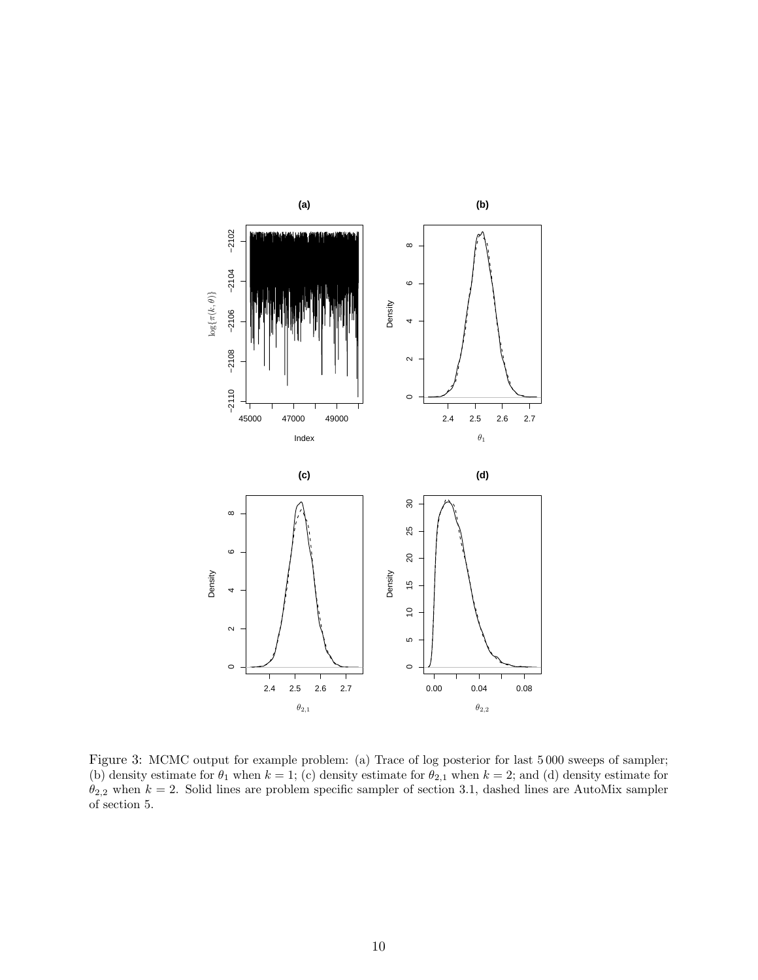

Figure 3: MCMC output for example problem: (a) Trace of log posterior for last 5000 sweeps of sampler; (b) density estimate for  $\theta_1$  when  $k = 1$ ; (c) density estimate for  $\theta_{2,1}$  when  $k = 2$ ; and (d) density estimate for  $\theta_{2,2}$  when  $k = 2$ . Solid lines are problem specific sampler of section 3.1, dashed lines are AutoMix sampler of section 5.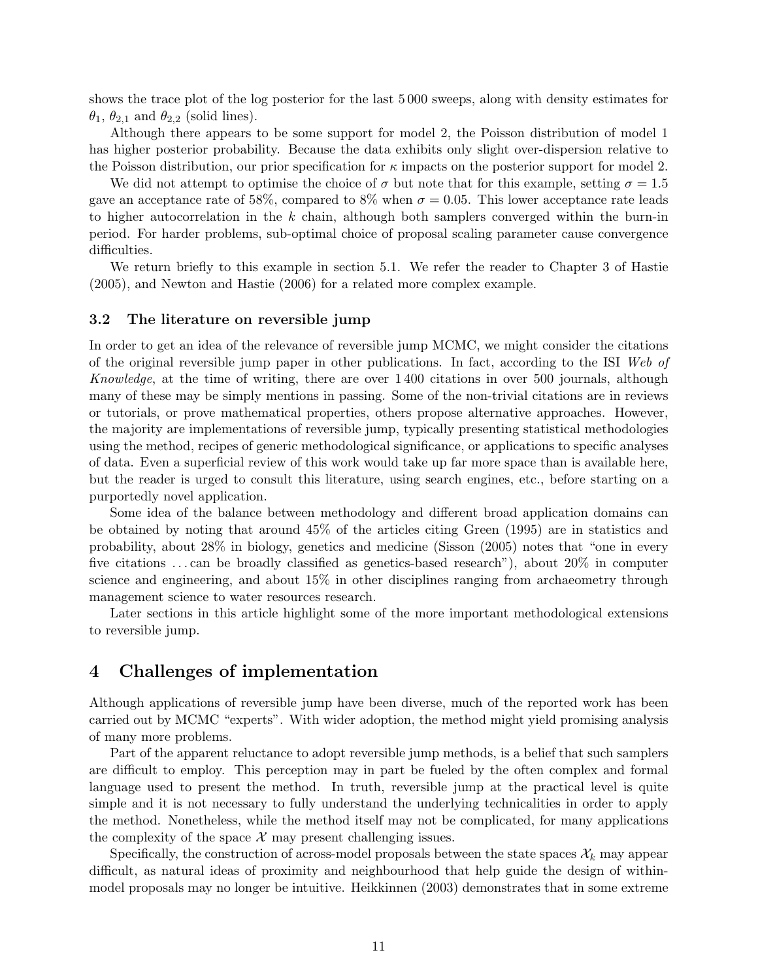shows the trace plot of the log posterior for the last 5 000 sweeps, along with density estimates for  $\theta_1$ ,  $\theta_{2,1}$  and  $\theta_{2,2}$  (solid lines).

Although there appears to be some support for model 2, the Poisson distribution of model 1 has higher posterior probability. Because the data exhibits only slight over-dispersion relative to the Poisson distribution, our prior specification for  $\kappa$  impacts on the posterior support for model 2.

We did not attempt to optimise the choice of  $\sigma$  but note that for this example, setting  $\sigma = 1.5$ gave an acceptance rate of 58%, compared to 8% when  $\sigma = 0.05$ . This lower acceptance rate leads to higher autocorrelation in the  $k$  chain, although both samplers converged within the burn-in period. For harder problems, sub-optimal choice of proposal scaling parameter cause convergence difficulties.

We return briefly to this example in section 5.1. We refer the reader to Chapter 3 of Hastie (2005), and Newton and Hastie (2006) for a related more complex example.

## 3.2 The literature on reversible jump

In order to get an idea of the relevance of reversible jump MCMC, we might consider the citations of the original reversible jump paper in other publications. In fact, according to the ISI Web of Knowledge, at the time of writing, there are over 1 400 citations in over 500 journals, although many of these may be simply mentions in passing. Some of the non-trivial citations are in reviews or tutorials, or prove mathematical properties, others propose alternative approaches. However, the majority are implementations of reversible jump, typically presenting statistical methodologies using the method, recipes of generic methodological significance, or applications to specific analyses of data. Even a superficial review of this work would take up far more space than is available here, but the reader is urged to consult this literature, using search engines, etc., before starting on a purportedly novel application.

Some idea of the balance between methodology and different broad application domains can be obtained by noting that around 45% of the articles citing Green (1995) are in statistics and probability, about 28% in biology, genetics and medicine (Sisson (2005) notes that "one in every five citations . . . can be broadly classified as genetics-based research"), about 20% in computer science and engineering, and about 15% in other disciplines ranging from archaeometry through management science to water resources research.

Later sections in this article highlight some of the more important methodological extensions to reversible jump.

# 4 Challenges of implementation

Although applications of reversible jump have been diverse, much of the reported work has been carried out by MCMC "experts". With wider adoption, the method might yield promising analysis of many more problems.

Part of the apparent reluctance to adopt reversible jump methods, is a belief that such samplers are difficult to employ. This perception may in part be fueled by the often complex and formal language used to present the method. In truth, reversible jump at the practical level is quite simple and it is not necessary to fully understand the underlying technicalities in order to apply the method. Nonetheless, while the method itself may not be complicated, for many applications the complexity of the space  $\mathcal X$  may present challenging issues.

Specifically, the construction of across-model proposals between the state spaces  $\mathcal{X}_k$  may appear difficult, as natural ideas of proximity and neighbourhood that help guide the design of withinmodel proposals may no longer be intuitive. Heikkinnen (2003) demonstrates that in some extreme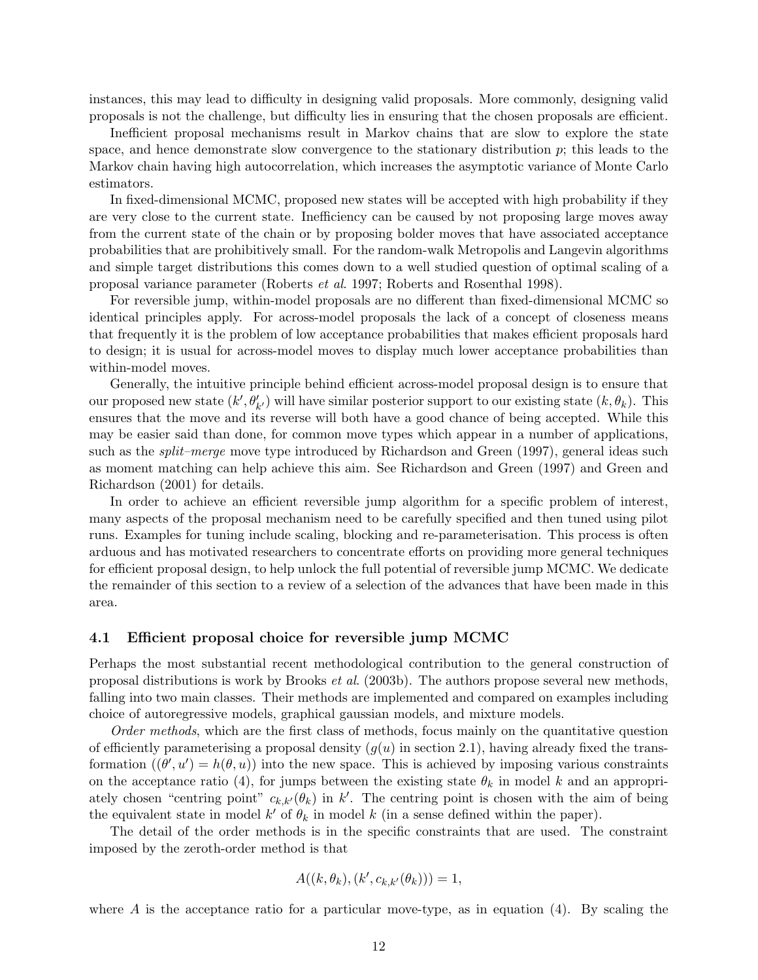instances, this may lead to difficulty in designing valid proposals. More commonly, designing valid proposals is not the challenge, but difficulty lies in ensuring that the chosen proposals are efficient.

Inefficient proposal mechanisms result in Markov chains that are slow to explore the state space, and hence demonstrate slow convergence to the stationary distribution  $p$ ; this leads to the Markov chain having high autocorrelation, which increases the asymptotic variance of Monte Carlo estimators.

In fixed-dimensional MCMC, proposed new states will be accepted with high probability if they are very close to the current state. Inefficiency can be caused by not proposing large moves away from the current state of the chain or by proposing bolder moves that have associated acceptance probabilities that are prohibitively small. For the random-walk Metropolis and Langevin algorithms and simple target distributions this comes down to a well studied question of optimal scaling of a proposal variance parameter (Roberts et al. 1997; Roberts and Rosenthal 1998).

For reversible jump, within-model proposals are no different than fixed-dimensional MCMC so identical principles apply. For across-model proposals the lack of a concept of closeness means that frequently it is the problem of low acceptance probabilities that makes efficient proposals hard to design; it is usual for across-model moves to display much lower acceptance probabilities than within-model moves.

Generally, the intuitive principle behind efficient across-model proposal design is to ensure that our proposed new state  $(k', \theta'_{k'})$  will have similar posterior support to our existing state  $(k, \theta_k)$ . This ensures that the move and its reverse will both have a good chance of being accepted. While this may be easier said than done, for common move types which appear in a number of applications, such as the *split–merge* move type introduced by Richardson and Green (1997), general ideas such as moment matching can help achieve this aim. See Richardson and Green (1997) and Green and Richardson (2001) for details.

In order to achieve an efficient reversible jump algorithm for a specific problem of interest, many aspects of the proposal mechanism need to be carefully specified and then tuned using pilot runs. Examples for tuning include scaling, blocking and re-parameterisation. This process is often arduous and has motivated researchers to concentrate efforts on providing more general techniques for efficient proposal design, to help unlock the full potential of reversible jump MCMC. We dedicate the remainder of this section to a review of a selection of the advances that have been made in this area.

## 4.1 Efficient proposal choice for reversible jump MCMC

Perhaps the most substantial recent methodological contribution to the general construction of proposal distributions is work by Brooks et al. (2003b). The authors propose several new methods, falling into two main classes. Their methods are implemented and compared on examples including choice of autoregressive models, graphical gaussian models, and mixture models.

Order methods, which are the first class of methods, focus mainly on the quantitative question of efficiently parameterising a proposal density  $(q(u)$  in section 2.1), having already fixed the transformation  $((\theta', u') = h(\theta, u))$  into the new space. This is achieved by imposing various constraints on the acceptance ratio (4), for jumps between the existing state  $\theta_k$  in model k and an appropriately chosen "centring point"  $c_{k,k'}(\theta_k)$  in k'. The centring point is chosen with the aim of being the equivalent state in model  $k'$  of  $\theta_k$  in model k (in a sense defined within the paper).

The detail of the order methods is in the specific constraints that are used. The constraint imposed by the zeroth-order method is that

$$
A((k, \theta_k), (k', c_{k,k'}(\theta_k))) = 1,
$$

where A is the acceptance ratio for a particular move-type, as in equation  $(4)$ . By scaling the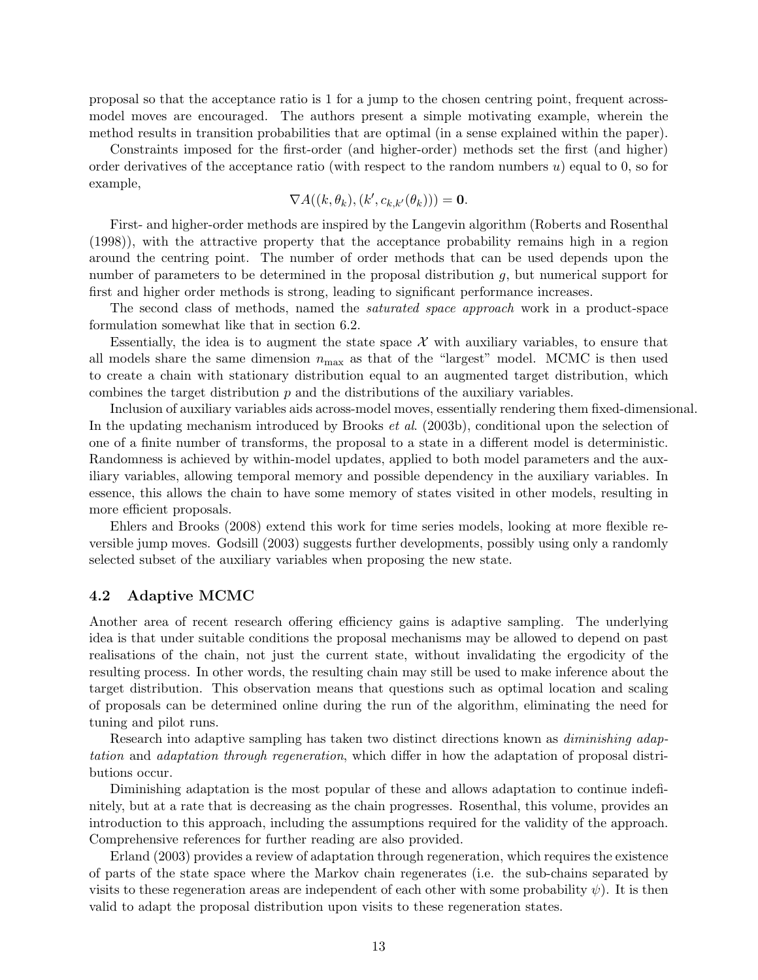proposal so that the acceptance ratio is 1 for a jump to the chosen centring point, frequent acrossmodel moves are encouraged. The authors present a simple motivating example, wherein the method results in transition probabilities that are optimal (in a sense explained within the paper).

Constraints imposed for the first-order (and higher-order) methods set the first (and higher) order derivatives of the acceptance ratio (with respect to the random numbers  $u$ ) equal to 0, so for example,

$$
\nabla A((k, \theta_k), (k', c_{k,k'}(\theta_k))) = \mathbf{0}.
$$

First- and higher-order methods are inspired by the Langevin algorithm (Roberts and Rosenthal (1998)), with the attractive property that the acceptance probability remains high in a region around the centring point. The number of order methods that can be used depends upon the number of parameters to be determined in the proposal distribution  $g$ , but numerical support for first and higher order methods is strong, leading to significant performance increases.

The second class of methods, named the *saturated space approach* work in a product-space formulation somewhat like that in section 6.2.

Essentially, the idea is to augment the state space  $\mathcal X$  with auxiliary variables, to ensure that all models share the same dimension  $n_{\text{max}}$  as that of the "largest" model. MCMC is then used to create a chain with stationary distribution equal to an augmented target distribution, which combines the target distribution  $p$  and the distributions of the auxiliary variables.

Inclusion of auxiliary variables aids across-model moves, essentially rendering them fixed-dimensional. In the updating mechanism introduced by Brooks et al. (2003b), conditional upon the selection of one of a finite number of transforms, the proposal to a state in a different model is deterministic. Randomness is achieved by within-model updates, applied to both model parameters and the auxiliary variables, allowing temporal memory and possible dependency in the auxiliary variables. In essence, this allows the chain to have some memory of states visited in other models, resulting in more efficient proposals.

Ehlers and Brooks (2008) extend this work for time series models, looking at more flexible reversible jump moves. Godsill (2003) suggests further developments, possibly using only a randomly selected subset of the auxiliary variables when proposing the new state.

## 4.2 Adaptive MCMC

Another area of recent research offering efficiency gains is adaptive sampling. The underlying idea is that under suitable conditions the proposal mechanisms may be allowed to depend on past realisations of the chain, not just the current state, without invalidating the ergodicity of the resulting process. In other words, the resulting chain may still be used to make inference about the target distribution. This observation means that questions such as optimal location and scaling of proposals can be determined online during the run of the algorithm, eliminating the need for tuning and pilot runs.

Research into adaptive sampling has taken two distinct directions known as *diminishing adap*tation and adaptation through regeneration, which differ in how the adaptation of proposal distributions occur.

Diminishing adaptation is the most popular of these and allows adaptation to continue indefinitely, but at a rate that is decreasing as the chain progresses. Rosenthal, this volume, provides an introduction to this approach, including the assumptions required for the validity of the approach. Comprehensive references for further reading are also provided.

Erland (2003) provides a review of adaptation through regeneration, which requires the existence of parts of the state space where the Markov chain regenerates (i.e. the sub-chains separated by visits to these regeneration areas are independent of each other with some probability  $\psi$ ). It is then valid to adapt the proposal distribution upon visits to these regeneration states.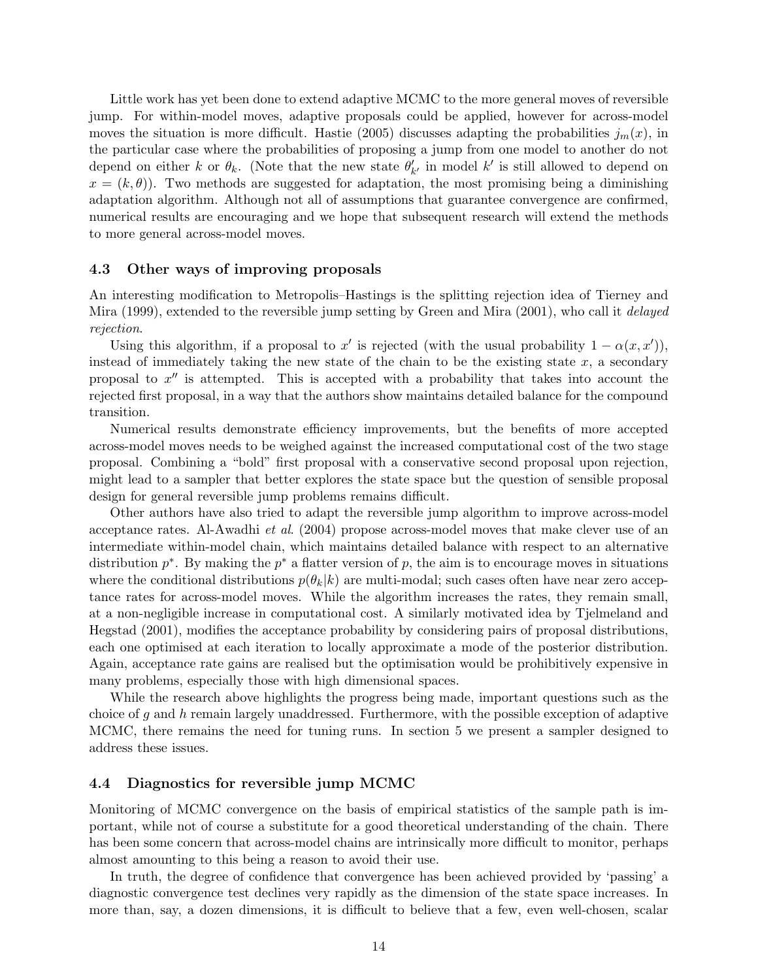Little work has yet been done to extend adaptive MCMC to the more general moves of reversible jump. For within-model moves, adaptive proposals could be applied, however for across-model moves the situation is more difficult. Hastie (2005) discusses adapting the probabilities  $j_m(x)$ , in the particular case where the probabilities of proposing a jump from one model to another do not depend on either k or  $\theta_k$ . (Note that the new state  $\theta'_{k'}$  in model k' is still allowed to depend on  $x = (k, \theta)$ . Two methods are suggested for adaptation, the most promising being a diminishing adaptation algorithm. Although not all of assumptions that guarantee convergence are confirmed, numerical results are encouraging and we hope that subsequent research will extend the methods to more general across-model moves.

#### 4.3 Other ways of improving proposals

An interesting modification to Metropolis–Hastings is the splitting rejection idea of Tierney and Mira (1999), extended to the reversible jump setting by Green and Mira (2001), who call it *delayed* rejection.

Using this algorithm, if a proposal to  $x'$  is rejected (with the usual probability  $1 - \alpha(x, x')$ ), instead of immediately taking the new state of the chain to be the existing state  $x$ , a secondary proposal to  $x''$  is attempted. This is accepted with a probability that takes into account the rejected first proposal, in a way that the authors show maintains detailed balance for the compound transition.

Numerical results demonstrate efficiency improvements, but the benefits of more accepted across-model moves needs to be weighed against the increased computational cost of the two stage proposal. Combining a "bold" first proposal with a conservative second proposal upon rejection, might lead to a sampler that better explores the state space but the question of sensible proposal design for general reversible jump problems remains difficult.

Other authors have also tried to adapt the reversible jump algorithm to improve across-model acceptance rates. Al-Awadhi et al. (2004) propose across-model moves that make clever use of an intermediate within-model chain, which maintains detailed balance with respect to an alternative distribution  $p^*$ . By making the  $p^*$  a flatter version of p, the aim is to encourage moves in situations where the conditional distributions  $p(\theta_k|k)$  are multi-modal; such cases often have near zero acceptance rates for across-model moves. While the algorithm increases the rates, they remain small, at a non-negligible increase in computational cost. A similarly motivated idea by Tjelmeland and Hegstad (2001), modifies the acceptance probability by considering pairs of proposal distributions, each one optimised at each iteration to locally approximate a mode of the posterior distribution. Again, acceptance rate gains are realised but the optimisation would be prohibitively expensive in many problems, especially those with high dimensional spaces.

While the research above highlights the progress being made, important questions such as the choice of g and h remain largely unaddressed. Furthermore, with the possible exception of adaptive MCMC, there remains the need for tuning runs. In section 5 we present a sampler designed to address these issues.

## 4.4 Diagnostics for reversible jump MCMC

Monitoring of MCMC convergence on the basis of empirical statistics of the sample path is important, while not of course a substitute for a good theoretical understanding of the chain. There has been some concern that across-model chains are intrinsically more difficult to monitor, perhaps almost amounting to this being a reason to avoid their use.

In truth, the degree of confidence that convergence has been achieved provided by 'passing' a diagnostic convergence test declines very rapidly as the dimension of the state space increases. In more than, say, a dozen dimensions, it is difficult to believe that a few, even well-chosen, scalar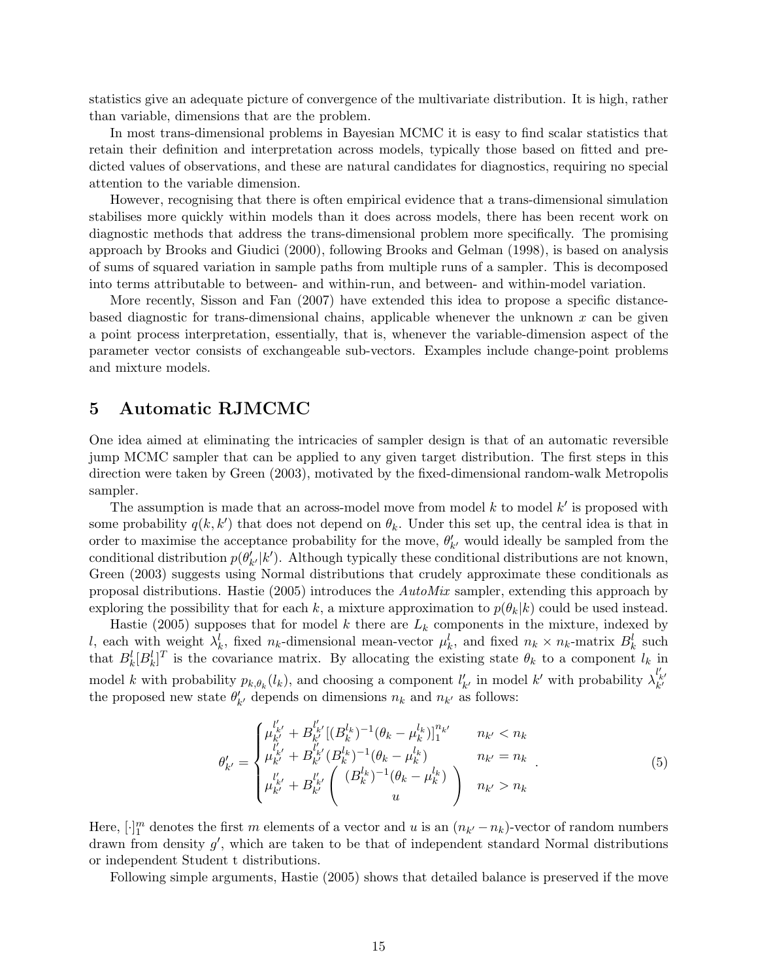statistics give an adequate picture of convergence of the multivariate distribution. It is high, rather than variable, dimensions that are the problem.

In most trans-dimensional problems in Bayesian MCMC it is easy to find scalar statistics that retain their definition and interpretation across models, typically those based on fitted and predicted values of observations, and these are natural candidates for diagnostics, requiring no special attention to the variable dimension.

However, recognising that there is often empirical evidence that a trans-dimensional simulation stabilises more quickly within models than it does across models, there has been recent work on diagnostic methods that address the trans-dimensional problem more specifically. The promising approach by Brooks and Giudici (2000), following Brooks and Gelman (1998), is based on analysis of sums of squared variation in sample paths from multiple runs of a sampler. This is decomposed into terms attributable to between- and within-run, and between- and within-model variation.

More recently, Sisson and Fan (2007) have extended this idea to propose a specific distancebased diagnostic for trans-dimensional chains, applicable whenever the unknown  $x$  can be given a point process interpretation, essentially, that is, whenever the variable-dimension aspect of the parameter vector consists of exchangeable sub-vectors. Examples include change-point problems and mixture models.

# 5 Automatic RJMCMC

One idea aimed at eliminating the intricacies of sampler design is that of an automatic reversible jump MCMC sampler that can be applied to any given target distribution. The first steps in this direction were taken by Green (2003), motivated by the fixed-dimensional random-walk Metropolis sampler.

The assumption is made that an across-model move from model  $k$  to model  $k'$  is proposed with some probability  $q(k, k')$  that does not depend on  $\theta_k$ . Under this set up, the central idea is that in order to maximise the acceptance probability for the move,  $\theta'_{k'}$  would ideally be sampled from the conditional distribution  $p(\theta'_{k'}|k')$ . Although typically these conditional distributions are not known, Green (2003) suggests using Normal distributions that crudely approximate these conditionals as proposal distributions. Hastie (2005) introduces the AutoMix sampler, extending this approach by exploring the possibility that for each k, a mixture approximation to  $p(\theta_k|k)$  could be used instead.

Hastie (2005) supposes that for model k there are  $L_k$  components in the mixture, indexed by l, each with weight  $\lambda_k^l$ , fixed  $n_k$ -dimensional mean-vector  $\mu_k^l$ , and fixed  $n_k \times n_k$ -matrix  $B_k^l$  such that  $B_k^l[B_k^l]^T$  is the covariance matrix. By allocating the existing state  $\theta_k$  to a component  $l_k$  in model k with probability  $p_{k,\theta_k}(l_k)$ , and choosing a component  $l'_{k'}$  in model k' with probability  $\lambda_{k'}^{l'_{k'}}$ the proposed new state  $\theta'_{k'}$  depends on dimensions  $n_k$  and  $n_{k'}$  as follows:

$$
\theta'_{k'} = \begin{cases} \mu'^{l'}_{k'} + B'^{l'}_{k'} [(B^{l_k}_{k})^{-1} (\theta_k - \mu^{l_k}_{k})]_1^{n_{k'}} & n_{k'} < n_k \\ \mu'^{l'}_{k'} + B'^{l'}_{k'} (B^{l_k}_{k})^{-1} (\theta_k - \mu^{l_k}_{k}) & n_{k'} = n_k \\ \mu'^{l'}_{k'} + B'^{l'}_{k'} \begin{pmatrix} (B^{l_k}_{k})^{-1} (\theta_k - \mu^{l_k}_{k}) \\ u & u \end{pmatrix} & n_{k'} > n_k \end{cases} (5)
$$

Here,  $[\cdot]_1^m$  denotes the first m elements of a vector and u is an  $(n_{k'}-n_k)$ -vector of random numbers drawn from density  $g'$ , which are taken to be that of independent standard Normal distributions or independent Student t distributions.

Following simple arguments, Hastie (2005) shows that detailed balance is preserved if the move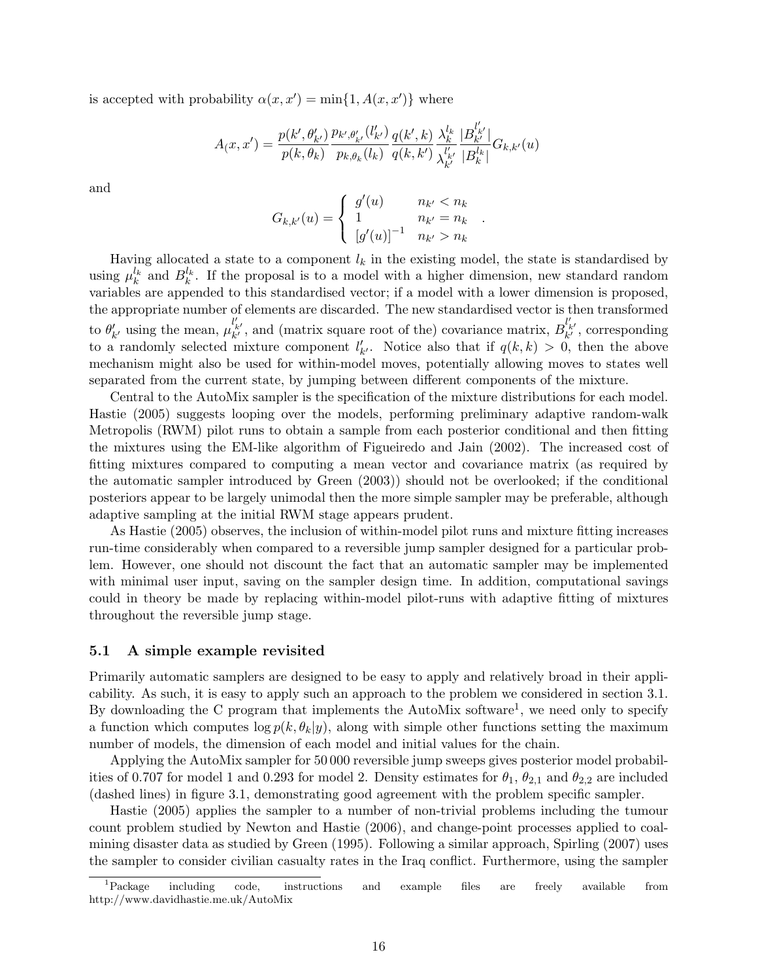is accepted with probability  $\alpha(x, x') = \min\{1, A(x, x')\}$  where

$$
A_(x,x') = \frac{p(k',\theta'_{k'})}{p(k,\theta_k)} \frac{p_{k',\theta'_{k'}}(l'_{k'})}{p_{k,\theta_k}(l_k)} \frac{q(k',k)}{q(k,k')} \frac{\lambda^{l_k}_{k}}{\lambda^{l'_{k'}}_{k'}} \frac{|B^{l'_{k'}}_{k'}|}{|B^{l_k}_{k}|} G_{k,k'}(u)
$$

and

$$
G_{k,k'}(u) = \begin{cases} g'(u) & n_{k'} < n_k \\ 1 & n_{k'} = n_k \\ [g'(u)]^{-1} & n_{k'} > n_k \end{cases}
$$

.

Having allocated a state to a component  $l_k$  in the existing model, the state is standardised by using  $\mu_k^{l_k}$  and  $B_k^{l_k}$ . If the proposal is to a model with a higher dimension, new standard random variables are appended to this standardised vector; if a model with a lower dimension is proposed, the appropriate number of elements are discarded. The new standardised vector is then transformed to  $\theta'_{k'}$  using the mean,  $\mu_{k'}^{l'_{k'}}$ , and (matrix square root of the) covariance matrix,  $B_{k'}^{l'_{k'}}$ , corresponding to a randomly selected mixture component  $l'_{k'}$ . Notice also that if  $q(k, k) > 0$ , then the above mechanism might also be used for within-model moves, potentially allowing moves to states well separated from the current state, by jumping between different components of the mixture.

Central to the AutoMix sampler is the specification of the mixture distributions for each model. Hastie (2005) suggests looping over the models, performing preliminary adaptive random-walk Metropolis (RWM) pilot runs to obtain a sample from each posterior conditional and then fitting the mixtures using the EM-like algorithm of Figueiredo and Jain (2002). The increased cost of fitting mixtures compared to computing a mean vector and covariance matrix (as required by the automatic sampler introduced by Green (2003)) should not be overlooked; if the conditional posteriors appear to be largely unimodal then the more simple sampler may be preferable, although adaptive sampling at the initial RWM stage appears prudent.

As Hastie (2005) observes, the inclusion of within-model pilot runs and mixture fitting increases run-time considerably when compared to a reversible jump sampler designed for a particular problem. However, one should not discount the fact that an automatic sampler may be implemented with minimal user input, saving on the sampler design time. In addition, computational savings could in theory be made by replacing within-model pilot-runs with adaptive fitting of mixtures throughout the reversible jump stage.

#### 5.1 A simple example revisited

Primarily automatic samplers are designed to be easy to apply and relatively broad in their applicability. As such, it is easy to apply such an approach to the problem we considered in section 3.1. By downloading the C program that implements the AutoMix software<sup>1</sup>, we need only to specify a function which computes  $\log p(k, \theta_k|y)$ , along with simple other functions setting the maximum number of models, the dimension of each model and initial values for the chain.

Applying the AutoMix sampler for 50 000 reversible jump sweeps gives posterior model probabilities of 0.707 for model 1 and 0.293 for model 2. Density estimates for  $\theta_1$ ,  $\theta_{2,1}$  and  $\theta_{2,2}$  are included (dashed lines) in figure 3.1, demonstrating good agreement with the problem specific sampler.

Hastie (2005) applies the sampler to a number of non-trivial problems including the tumour count problem studied by Newton and Hastie (2006), and change-point processes applied to coalmining disaster data as studied by Green (1995). Following a similar approach, Spirling (2007) uses the sampler to consider civilian casualty rates in the Iraq conflict. Furthermore, using the sampler

<sup>1</sup>Package including code, instructions and example files are freely available from http://www.davidhastie.me.uk/AutoMix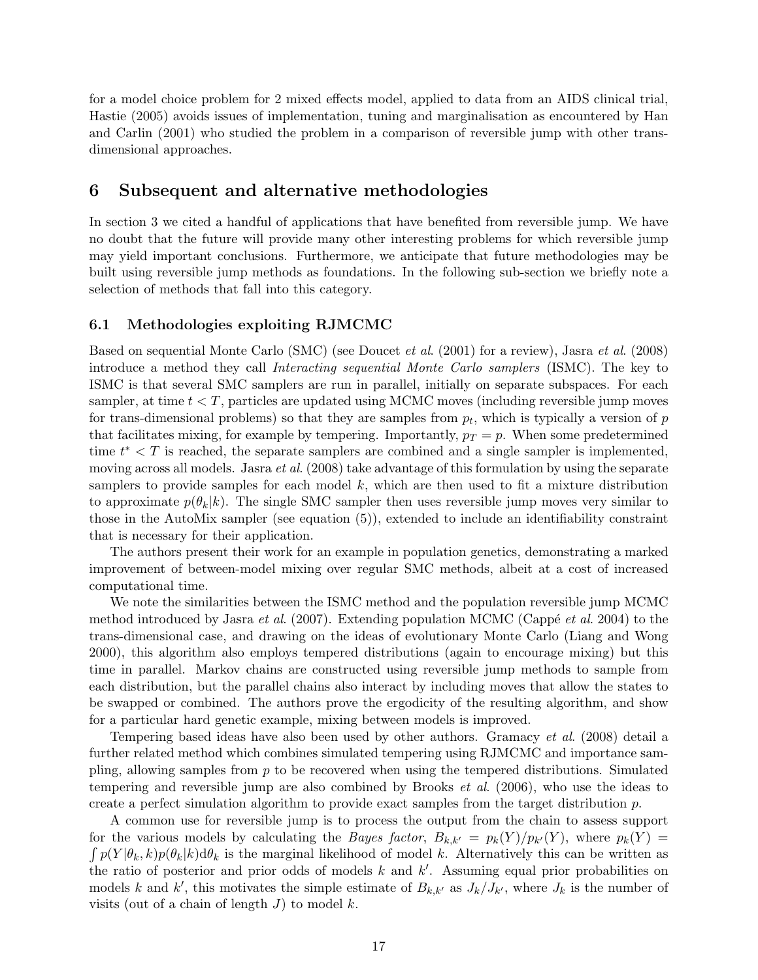for a model choice problem for 2 mixed effects model, applied to data from an AIDS clinical trial, Hastie (2005) avoids issues of implementation, tuning and marginalisation as encountered by Han and Carlin (2001) who studied the problem in a comparison of reversible jump with other transdimensional approaches.

## 6 Subsequent and alternative methodologies

In section 3 we cited a handful of applications that have benefited from reversible jump. We have no doubt that the future will provide many other interesting problems for which reversible jump may yield important conclusions. Furthermore, we anticipate that future methodologies may be built using reversible jump methods as foundations. In the following sub-section we briefly note a selection of methods that fall into this category.

## 6.1 Methodologies exploiting RJMCMC

Based on sequential Monte Carlo (SMC) (see Doucet et al. (2001) for a review), Jasra et al. (2008) introduce a method they call Interacting sequential Monte Carlo samplers (ISMC). The key to ISMC is that several SMC samplers are run in parallel, initially on separate subspaces. For each sampler, at time  $t < T$ , particles are updated using MCMC moves (including reversible jump moves for trans-dimensional problems) so that they are samples from  $p_t$ , which is typically a version of  $p$ that facilitates mixing, for example by tempering. Importantly,  $p_T = p$ . When some predetermined time  $t^* < T$  is reached, the separate samplers are combined and a single sampler is implemented, moving across all models. Jasra *et al.* (2008) take advantage of this formulation by using the separate samplers to provide samples for each model  $k$ , which are then used to fit a mixture distribution to approximate  $p(\theta_k|k)$ . The single SMC sampler then uses reversible jump moves very similar to those in the AutoMix sampler (see equation (5)), extended to include an identifiability constraint that is necessary for their application.

The authors present their work for an example in population genetics, demonstrating a marked improvement of between-model mixing over regular SMC methods, albeit at a cost of increased computational time.

We note the similarities between the ISMC method and the population reversible jump MCMC method introduced by Jasra *et al.* (2007). Extending population MCMC (Cappé *et al.* 2004) to the trans-dimensional case, and drawing on the ideas of evolutionary Monte Carlo (Liang and Wong 2000), this algorithm also employs tempered distributions (again to encourage mixing) but this time in parallel. Markov chains are constructed using reversible jump methods to sample from each distribution, but the parallel chains also interact by including moves that allow the states to be swapped or combined. The authors prove the ergodicity of the resulting algorithm, and show for a particular hard genetic example, mixing between models is improved.

Tempering based ideas have also been used by other authors. Gramacy et al. (2008) detail a further related method which combines simulated tempering using RJMCMC and importance sampling, allowing samples from  $p$  to be recovered when using the tempered distributions. Simulated tempering and reversible jump are also combined by Brooks et al. (2006), who use the ideas to create a perfect simulation algorithm to provide exact samples from the target distribution p.

A common use for reversible jump is to process the output from the chain to assess support for the various models by calculating the *Bayes factor*,  $B_{k,k'} = p_k(Y)/p_{k'}(Y)$ , where  $p_k(Y) =$  $\int p(Y|\theta_k, k)p(\theta_k|k) d\theta_k$  is the marginal likelihood of model k. Alternatively this can be written as the ratio of posterior and prior odds of models  $k$  and  $k'$ . Assuming equal prior probabilities on models k and k', this motivates the simple estimate of  $B_{k,k'}$  as  $J_k/J_{k'}$ , where  $J_k$  is the number of visits (out of a chain of length  $J$ ) to model  $k$ .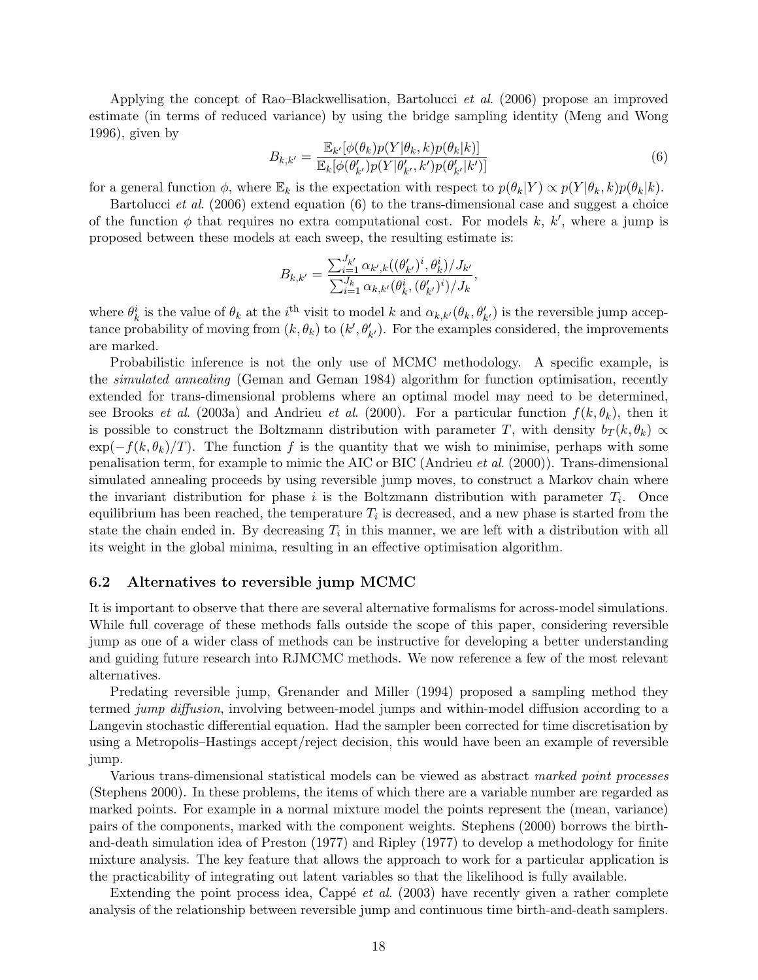Applying the concept of Rao–Blackwellisation, Bartolucci et al. (2006) propose an improved estimate (in terms of reduced variance) by using the bridge sampling identity (Meng and Wong 1996), given by

$$
B_{k,k'} = \frac{\mathbb{E}_{k'}[\phi(\theta_k)p(Y|\theta_k,k)p(\theta_k|k)]}{\mathbb{E}_{k}[\phi(\theta'_{k'})p(Y|\theta'_{k'},k')p(\theta'_{k'}|k')]}
$$
(6)

for a general function  $\phi$ , where  $\mathbb{E}_k$  is the expectation with respect to  $p(\theta_k|Y) \propto p(Y|\theta_k, k)p(\theta_k|k)$ .

Bartolucci et al. (2006) extend equation (6) to the trans-dimensional case and suggest a choice of the function  $\phi$  that requires no extra computational cost. For models k, k', where a jump is proposed between these models at each sweep, the resulting estimate is:

$$
B_{k,k'} = \frac{\sum_{i=1}^{J_{k'}} \alpha_{k',k}((\theta'_{k'})^i, \theta^i_k)/J_{k'}}{\sum_{i=1}^{J_k} \alpha_{k,k'}(\theta^i_k, (\theta'_{k'})^i)/J_k},
$$

where  $\theta_k^i$  is the value of  $\theta_k$  at the *i*<sup>th</sup> visit to model k and  $\alpha_{k,k'}(\theta_k, \theta'_{k'})$  is the reversible jump acceptance probability of moving from  $(k, \theta_k)$  to  $(k', \theta'_{k'})$ . For the examples considered, the improvements are marked.

Probabilistic inference is not the only use of MCMC methodology. A specific example, is the simulated annealing (Geman and Geman 1984) algorithm for function optimisation, recently extended for trans-dimensional problems where an optimal model may need to be determined, see Brooks *et al.* (2003a) and Andrieu *et al.* (2000). For a particular function  $f(k, \theta_k)$ , then it is possible to construct the Boltzmann distribution with parameter T, with density  $b_T(k, \theta_k) \propto$  $\exp(-f(k, \theta_k)/T)$ . The function f is the quantity that we wish to minimise, perhaps with some penalisation term, for example to mimic the AIC or BIC (Andrieu et al. (2000)). Trans-dimensional simulated annealing proceeds by using reversible jump moves, to construct a Markov chain where the invariant distribution for phase i is the Boltzmann distribution with parameter  $T_i$ . Once equilibrium has been reached, the temperature  $T_i$  is decreased, and a new phase is started from the state the chain ended in. By decreasing  $T_i$  in this manner, we are left with a distribution with all its weight in the global minima, resulting in an effective optimisation algorithm.

#### 6.2 Alternatives to reversible jump MCMC

It is important to observe that there are several alternative formalisms for across-model simulations. While full coverage of these methods falls outside the scope of this paper, considering reversible jump as one of a wider class of methods can be instructive for developing a better understanding and guiding future research into RJMCMC methods. We now reference a few of the most relevant alternatives.

Predating reversible jump, Grenander and Miller (1994) proposed a sampling method they termed jump diffusion, involving between-model jumps and within-model diffusion according to a Langevin stochastic differential equation. Had the sampler been corrected for time discretisation by using a Metropolis–Hastings accept/reject decision, this would have been an example of reversible jump.

Various trans-dimensional statistical models can be viewed as abstract marked point processes (Stephens 2000). In these problems, the items of which there are a variable number are regarded as marked points. For example in a normal mixture model the points represent the (mean, variance) pairs of the components, marked with the component weights. Stephens (2000) borrows the birthand-death simulation idea of Preston (1977) and Ripley (1977) to develop a methodology for finite mixture analysis. The key feature that allows the approach to work for a particular application is the practicability of integrating out latent variables so that the likelihood is fully available.

Extending the point process idea, Cappé *et al.* (2003) have recently given a rather complete analysis of the relationship between reversible jump and continuous time birth-and-death samplers.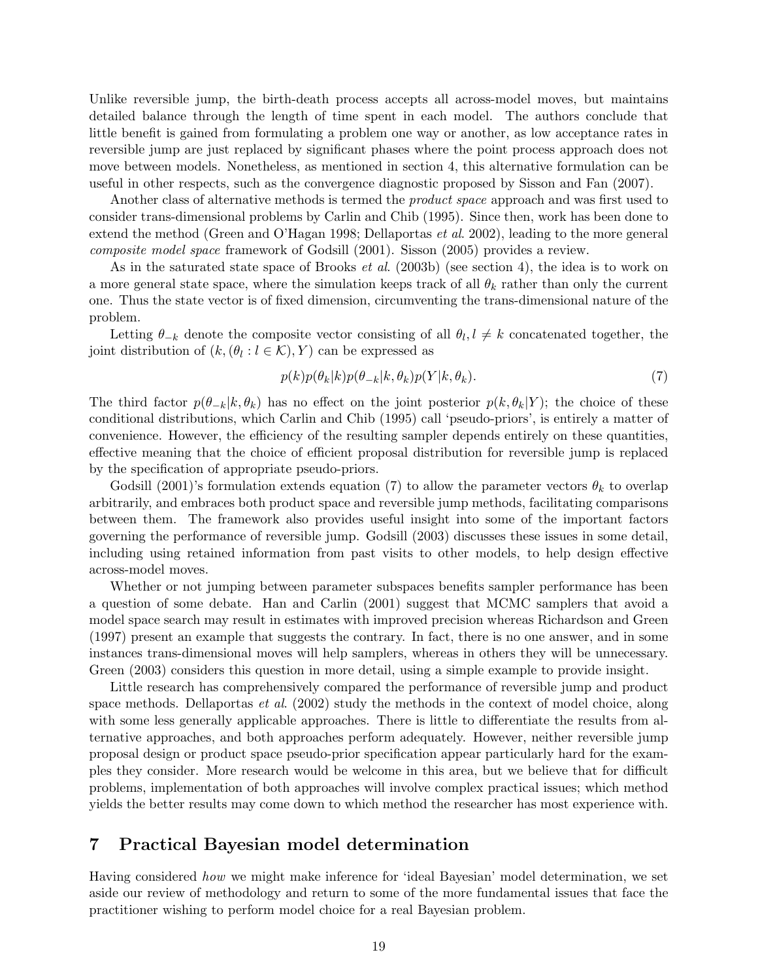Unlike reversible jump, the birth-death process accepts all across-model moves, but maintains detailed balance through the length of time spent in each model. The authors conclude that little benefit is gained from formulating a problem one way or another, as low acceptance rates in reversible jump are just replaced by significant phases where the point process approach does not move between models. Nonetheless, as mentioned in section 4, this alternative formulation can be useful in other respects, such as the convergence diagnostic proposed by Sisson and Fan (2007).

Another class of alternative methods is termed the *product space* approach and was first used to consider trans-dimensional problems by Carlin and Chib (1995). Since then, work has been done to extend the method (Green and O'Hagan 1998; Dellaportas et al. 2002), leading to the more general composite model space framework of Godsill (2001). Sisson (2005) provides a review.

As in the saturated state space of Brooks et al. (2003b) (see section 4), the idea is to work on a more general state space, where the simulation keeps track of all  $\theta_k$  rather than only the current one. Thus the state vector is of fixed dimension, circumventing the trans-dimensional nature of the problem.

Letting  $\theta_{-k}$  denote the composite vector consisting of all  $\theta_l, l \neq k$  concatenated together, the joint distribution of  $(k, (\theta_l : l \in \mathcal{K}), Y)$  can be expressed as

$$
p(k)p(\theta_k|k)p(\theta_{-k}|k,\theta_k)p(Y|k,\theta_k).
$$
\n(7)

The third factor  $p(\theta_{-k}|k, \theta_k)$  has no effect on the joint posterior  $p(k, \theta_k|Y)$ ; the choice of these conditional distributions, which Carlin and Chib (1995) call 'pseudo-priors', is entirely a matter of convenience. However, the efficiency of the resulting sampler depends entirely on these quantities, effective meaning that the choice of efficient proposal distribution for reversible jump is replaced by the specification of appropriate pseudo-priors.

Godsill (2001)'s formulation extends equation (7) to allow the parameter vectors  $\theta_k$  to overlap arbitrarily, and embraces both product space and reversible jump methods, facilitating comparisons between them. The framework also provides useful insight into some of the important factors governing the performance of reversible jump. Godsill (2003) discusses these issues in some detail, including using retained information from past visits to other models, to help design effective across-model moves.

Whether or not jumping between parameter subspaces benefits sampler performance has been a question of some debate. Han and Carlin (2001) suggest that MCMC samplers that avoid a model space search may result in estimates with improved precision whereas Richardson and Green (1997) present an example that suggests the contrary. In fact, there is no one answer, and in some instances trans-dimensional moves will help samplers, whereas in others they will be unnecessary. Green (2003) considers this question in more detail, using a simple example to provide insight.

Little research has comprehensively compared the performance of reversible jump and product space methods. Dellaportas *et al.* (2002) study the methods in the context of model choice, along with some less generally applicable approaches. There is little to differentiate the results from alternative approaches, and both approaches perform adequately. However, neither reversible jump proposal design or product space pseudo-prior specification appear particularly hard for the examples they consider. More research would be welcome in this area, but we believe that for difficult problems, implementation of both approaches will involve complex practical issues; which method yields the better results may come down to which method the researcher has most experience with.

# 7 Practical Bayesian model determination

Having considered how we might make inference for 'ideal Bayesian' model determination, we set aside our review of methodology and return to some of the more fundamental issues that face the practitioner wishing to perform model choice for a real Bayesian problem.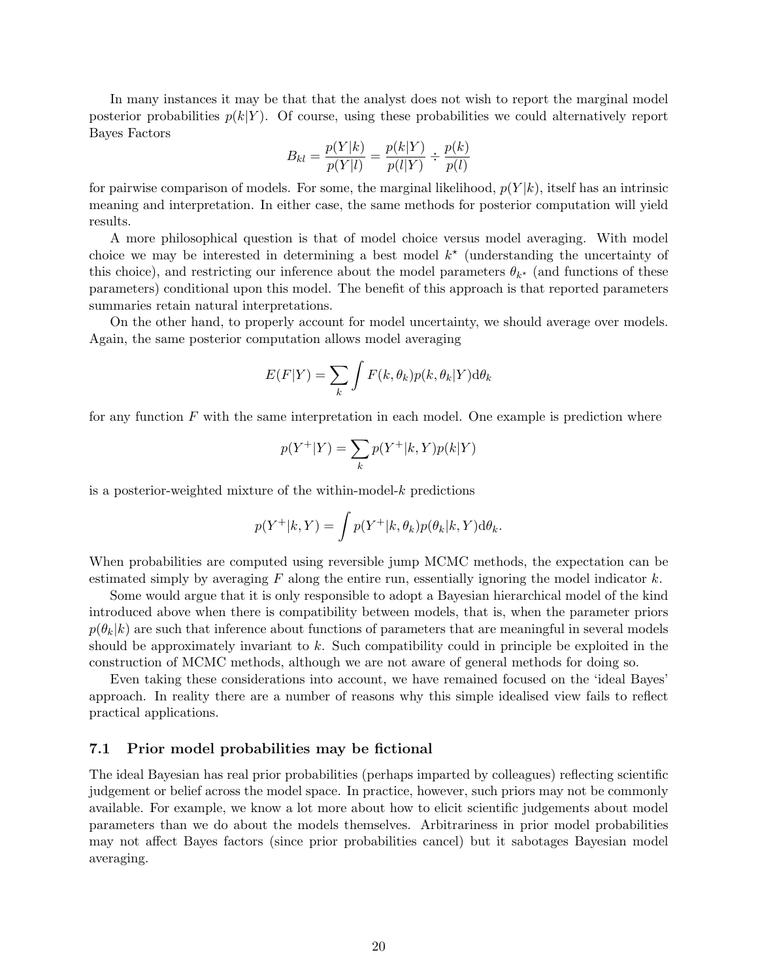In many instances it may be that that the analyst does not wish to report the marginal model posterior probabilities  $p(k|Y)$ . Of course, using these probabilities we could alternatively report Bayes Factors

$$
B_{kl} = \frac{p(Y|k)}{p(Y|l)} = \frac{p(k|Y)}{p(l|Y)} \div \frac{p(k)}{p(l)}
$$

for pairwise comparison of models. For some, the marginal likelihood,  $p(Y|k)$ , itself has an intrinsic meaning and interpretation. In either case, the same methods for posterior computation will yield results.

A more philosophical question is that of model choice versus model averaging. With model choice we may be interested in determining a best model  $k^*$  (understanding the uncertainty of this choice), and restricting our inference about the model parameters  $\theta_{k^*}$  (and functions of these parameters) conditional upon this model. The benefit of this approach is that reported parameters summaries retain natural interpretations.

On the other hand, to properly account for model uncertainty, we should average over models. Again, the same posterior computation allows model averaging

$$
E(F|Y) = \sum_{k} \int F(k, \theta_k) p(k, \theta_k | Y) d\theta_k
$$

for any function  $F$  with the same interpretation in each model. One example is prediction where

$$
p(Y^+|Y) = \sum_k p(Y^+|k,Y)p(k|Y)
$$

is a posterior-weighted mixture of the within-model- $k$  predictions

$$
p(Y^+|k,Y) = \int p(Y^+|k,\theta_k)p(\theta_k|k,Y)d\theta_k.
$$

When probabilities are computed using reversible jump MCMC methods, the expectation can be estimated simply by averaging  $F$  along the entire run, essentially ignoring the model indicator  $k$ .

Some would argue that it is only responsible to adopt a Bayesian hierarchical model of the kind introduced above when there is compatibility between models, that is, when the parameter priors  $p(\theta_k|k)$  are such that inference about functions of parameters that are meaningful in several models should be approximately invariant to  $k$ . Such compatibility could in principle be exploited in the construction of MCMC methods, although we are not aware of general methods for doing so.

Even taking these considerations into account, we have remained focused on the 'ideal Bayes' approach. In reality there are a number of reasons why this simple idealised view fails to reflect practical applications.

#### 7.1 Prior model probabilities may be fictional

The ideal Bayesian has real prior probabilities (perhaps imparted by colleagues) reflecting scientific judgement or belief across the model space. In practice, however, such priors may not be commonly available. For example, we know a lot more about how to elicit scientific judgements about model parameters than we do about the models themselves. Arbitrariness in prior model probabilities may not affect Bayes factors (since prior probabilities cancel) but it sabotages Bayesian model averaging.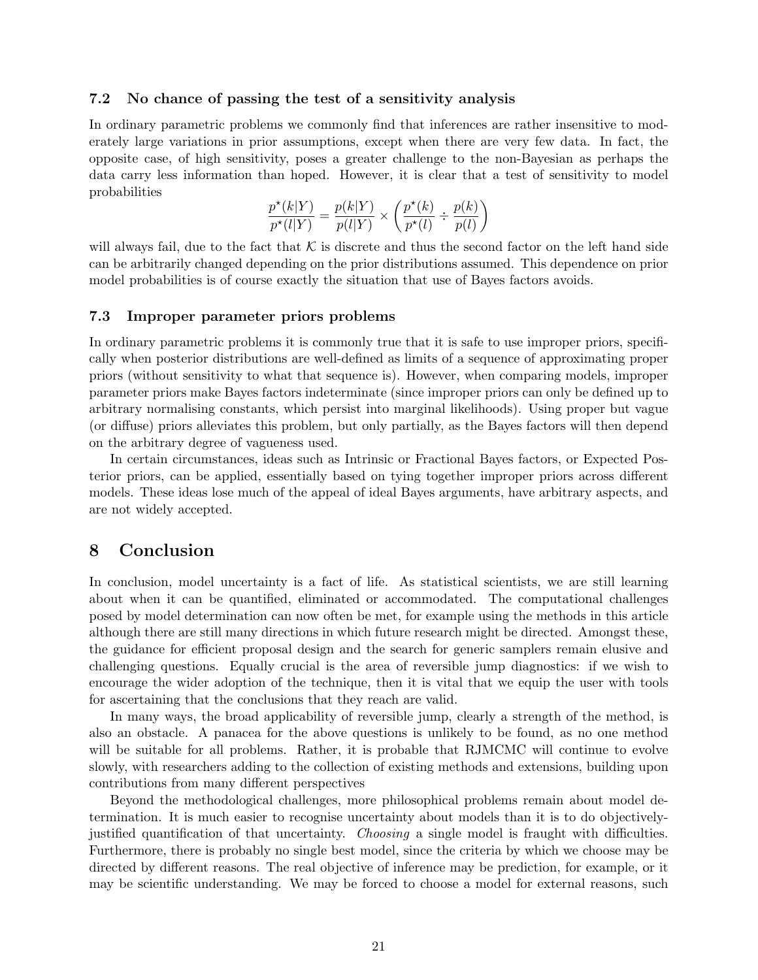#### 7.2 No chance of passing the test of a sensitivity analysis

In ordinary parametric problems we commonly find that inferences are rather insensitive to moderately large variations in prior assumptions, except when there are very few data. In fact, the opposite case, of high sensitivity, poses a greater challenge to the non-Bayesian as perhaps the data carry less information than hoped. However, it is clear that a test of sensitivity to model probabilities

$$
\frac{p^{\star}(k|Y)}{p^{\star}(l|Y)} = \frac{p(k|Y)}{p(l|Y)} \times \left(\frac{p^{\star}(k)}{p^{\star}(l)} \div \frac{p(k)}{p(l)}\right)
$$

will always fail, due to the fact that  $\mathcal K$  is discrete and thus the second factor on the left hand side can be arbitrarily changed depending on the prior distributions assumed. This dependence on prior model probabilities is of course exactly the situation that use of Bayes factors avoids.

#### 7.3 Improper parameter priors problems

In ordinary parametric problems it is commonly true that it is safe to use improper priors, specifically when posterior distributions are well-defined as limits of a sequence of approximating proper priors (without sensitivity to what that sequence is). However, when comparing models, improper parameter priors make Bayes factors indeterminate (since improper priors can only be defined up to arbitrary normalising constants, which persist into marginal likelihoods). Using proper but vague (or diffuse) priors alleviates this problem, but only partially, as the Bayes factors will then depend on the arbitrary degree of vagueness used.

In certain circumstances, ideas such as Intrinsic or Fractional Bayes factors, or Expected Posterior priors, can be applied, essentially based on tying together improper priors across different models. These ideas lose much of the appeal of ideal Bayes arguments, have arbitrary aspects, and are not widely accepted.

# 8 Conclusion

In conclusion, model uncertainty is a fact of life. As statistical scientists, we are still learning about when it can be quantified, eliminated or accommodated. The computational challenges posed by model determination can now often be met, for example using the methods in this article although there are still many directions in which future research might be directed. Amongst these, the guidance for efficient proposal design and the search for generic samplers remain elusive and challenging questions. Equally crucial is the area of reversible jump diagnostics: if we wish to encourage the wider adoption of the technique, then it is vital that we equip the user with tools for ascertaining that the conclusions that they reach are valid.

In many ways, the broad applicability of reversible jump, clearly a strength of the method, is also an obstacle. A panacea for the above questions is unlikely to be found, as no one method will be suitable for all problems. Rather, it is probable that RJMCMC will continue to evolve slowly, with researchers adding to the collection of existing methods and extensions, building upon contributions from many different perspectives

Beyond the methodological challenges, more philosophical problems remain about model determination. It is much easier to recognise uncertainty about models than it is to do objectivelyjustified quantification of that uncertainty. Choosing a single model is fraught with difficulties. Furthermore, there is probably no single best model, since the criteria by which we choose may be directed by different reasons. The real objective of inference may be prediction, for example, or it may be scientific understanding. We may be forced to choose a model for external reasons, such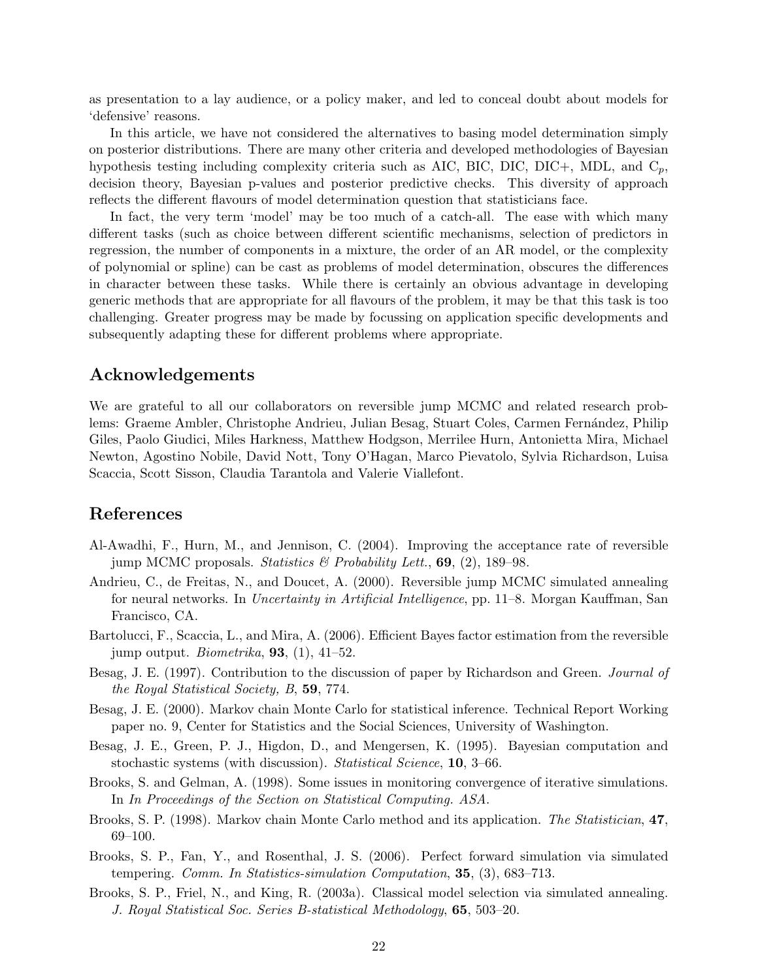as presentation to a lay audience, or a policy maker, and led to conceal doubt about models for 'defensive' reasons.

In this article, we have not considered the alternatives to basing model determination simply on posterior distributions. There are many other criteria and developed methodologies of Bayesian hypothesis testing including complexity criteria such as AIC, BIC, DIC, DIC+, MDL, and  $C_p$ , decision theory, Bayesian p-values and posterior predictive checks. This diversity of approach reflects the different flavours of model determination question that statisticians face.

In fact, the very term 'model' may be too much of a catch-all. The ease with which many different tasks (such as choice between different scientific mechanisms, selection of predictors in regression, the number of components in a mixture, the order of an AR model, or the complexity of polynomial or spline) can be cast as problems of model determination, obscures the differences in character between these tasks. While there is certainly an obvious advantage in developing generic methods that are appropriate for all flavours of the problem, it may be that this task is too challenging. Greater progress may be made by focussing on application specific developments and subsequently adapting these for different problems where appropriate.

# Acknowledgements

We are grateful to all our collaborators on reversible jump MCMC and related research problems: Graeme Ambler, Christophe Andrieu, Julian Besag, Stuart Coles, Carmen Fernández, Philip Giles, Paolo Giudici, Miles Harkness, Matthew Hodgson, Merrilee Hurn, Antonietta Mira, Michael Newton, Agostino Nobile, David Nott, Tony O'Hagan, Marco Pievatolo, Sylvia Richardson, Luisa Scaccia, Scott Sisson, Claudia Tarantola and Valerie Viallefont.

# References

- Al-Awadhi, F., Hurn, M., and Jennison, C. (2004). Improving the acceptance rate of reversible jump MCMC proposals. Statistics & Probability Lett.,  $69$ ,  $(2)$ , 189-98.
- Andrieu, C., de Freitas, N., and Doucet, A. (2000). Reversible jump MCMC simulated annealing for neural networks. In Uncertainty in Artificial Intelligence, pp. 11–8. Morgan Kauffman, San Francisco, CA.
- Bartolucci, F., Scaccia, L., and Mira, A. (2006). Efficient Bayes factor estimation from the reversible jump output. *Biometrika*, **93**, (1), 41–52.
- Besag, J. E. (1997). Contribution to the discussion of paper by Richardson and Green. Journal of the Royal Statistical Society, B, 59, 774.
- Besag, J. E. (2000). Markov chain Monte Carlo for statistical inference. Technical Report Working paper no. 9, Center for Statistics and the Social Sciences, University of Washington.
- Besag, J. E., Green, P. J., Higdon, D., and Mengersen, K. (1995). Bayesian computation and stochastic systems (with discussion). Statistical Science, 10, 3–66.
- Brooks, S. and Gelman, A. (1998). Some issues in monitoring convergence of iterative simulations. In In Proceedings of the Section on Statistical Computing. ASA.
- Brooks, S. P. (1998). Markov chain Monte Carlo method and its application. The Statistician, 47, 69–100.
- Brooks, S. P., Fan, Y., and Rosenthal, J. S. (2006). Perfect forward simulation via simulated tempering. Comm. In Statistics-simulation Computation, 35, (3), 683–713.
- Brooks, S. P., Friel, N., and King, R. (2003a). Classical model selection via simulated annealing. J. Royal Statistical Soc. Series B-statistical Methodology, 65, 503–20.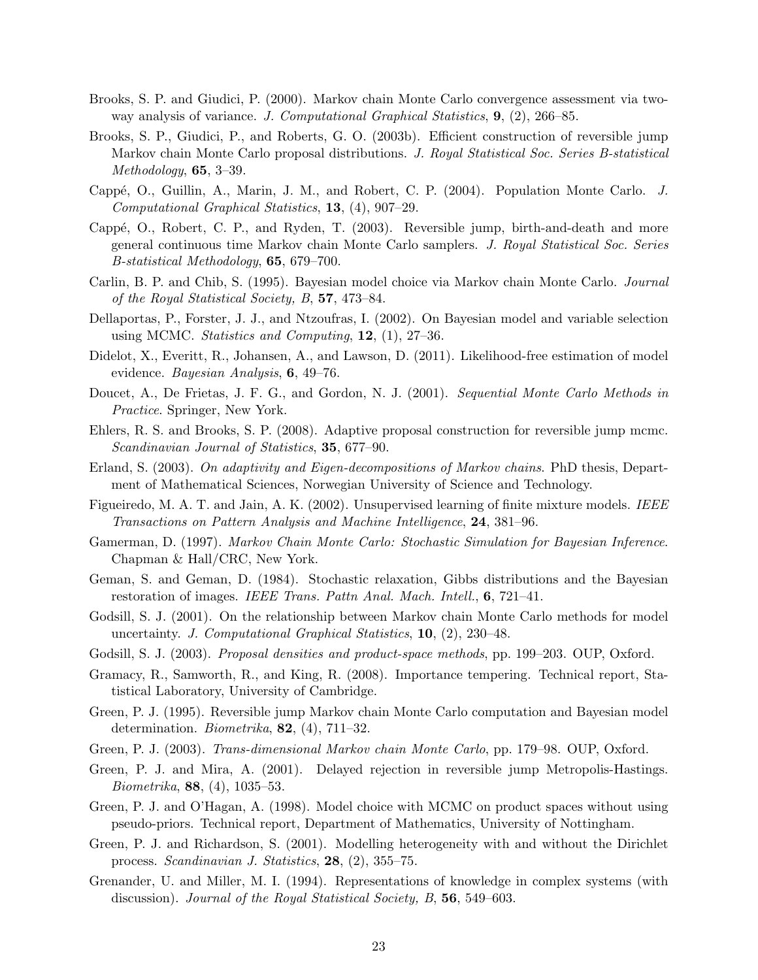- Brooks, S. P. and Giudici, P. (2000). Markov chain Monte Carlo convergence assessment via twoway analysis of variance. J. Computational Graphical Statistics,  $9, (2), 266-85$ .
- Brooks, S. P., Giudici, P., and Roberts, G. O. (2003b). Efficient construction of reversible jump Markov chain Monte Carlo proposal distributions. J. Royal Statistical Soc. Series B-statistical Methodology, 65, 3–39.
- Cappé, O., Guillin, A., Marin, J. M., and Robert, C. P. (2004). Population Monte Carlo. J. Computational Graphical Statistics, 13, (4), 907–29.
- Cappé, O., Robert, C. P., and Ryden, T. (2003). Reversible jump, birth-and-death and more general continuous time Markov chain Monte Carlo samplers. J. Royal Statistical Soc. Series B-statistical Methodology, 65, 679–700.
- Carlin, B. P. and Chib, S. (1995). Bayesian model choice via Markov chain Monte Carlo. Journal of the Royal Statistical Society, B, 57, 473–84.
- Dellaportas, P., Forster, J. J., and Ntzoufras, I. (2002). On Bayesian model and variable selection using MCMC. Statistics and Computing,  $12$ ,  $(1)$ ,  $27-36$ .
- Didelot, X., Everitt, R., Johansen, A., and Lawson, D. (2011). Likelihood-free estimation of model evidence. Bayesian Analysis, 6, 49–76.
- Doucet, A., De Frietas, J. F. G., and Gordon, N. J. (2001). Sequential Monte Carlo Methods in Practice. Springer, New York.
- Ehlers, R. S. and Brooks, S. P. (2008). Adaptive proposal construction for reversible jump mcmc. Scandinavian Journal of Statistics, 35, 677–90.
- Erland, S. (2003). On adaptivity and Eigen-decompositions of Markov chains. PhD thesis, Department of Mathematical Sciences, Norwegian University of Science and Technology.
- Figueiredo, M. A. T. and Jain, A. K. (2002). Unsupervised learning of finite mixture models. IEEE Transactions on Pattern Analysis and Machine Intelligence, 24, 381–96.
- Gamerman, D. (1997). Markov Chain Monte Carlo: Stochastic Simulation for Bayesian Inference. Chapman & Hall/CRC, New York.
- Geman, S. and Geman, D. (1984). Stochastic relaxation, Gibbs distributions and the Bayesian restoration of images. IEEE Trans. Pattn Anal. Mach. Intell., 6, 721–41.
- Godsill, S. J. (2001). On the relationship between Markov chain Monte Carlo methods for model uncertainty. J. Computational Graphical Statistics, 10, (2), 230–48.
- Godsill, S. J. (2003). *Proposal densities and product-space methods*, pp. 199–203. OUP, Oxford.
- Gramacy, R., Samworth, R., and King, R. (2008). Importance tempering. Technical report, Statistical Laboratory, University of Cambridge.
- Green, P. J. (1995). Reversible jump Markov chain Monte Carlo computation and Bayesian model determination. *Biometrika*, **82**, (4), 711–32.
- Green, P. J. (2003). Trans-dimensional Markov chain Monte Carlo, pp. 179–98. OUP, Oxford.
- Green, P. J. and Mira, A. (2001). Delayed rejection in reversible jump Metropolis-Hastings. Biometrika, 88, (4), 1035–53.
- Green, P. J. and O'Hagan, A. (1998). Model choice with MCMC on product spaces without using pseudo-priors. Technical report, Department of Mathematics, University of Nottingham.
- Green, P. J. and Richardson, S. (2001). Modelling heterogeneity with and without the Dirichlet process. Scandinavian J. Statistics, 28, (2), 355–75.
- Grenander, U. and Miller, M. I. (1994). Representations of knowledge in complex systems (with discussion). Journal of the Royal Statistical Society, B, 56, 549–603.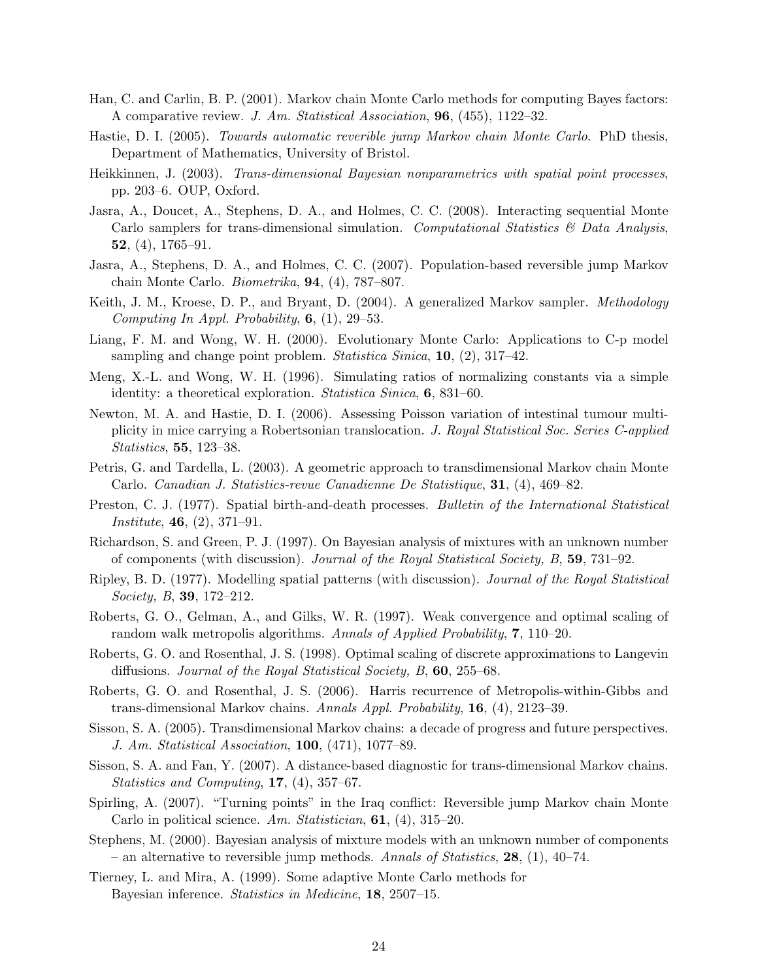- Han, C. and Carlin, B. P. (2001). Markov chain Monte Carlo methods for computing Bayes factors: A comparative review. J. Am. Statistical Association, 96, (455), 1122–32.
- Hastie, D. I. (2005). Towards automatic reverible jump Markov chain Monte Carlo. PhD thesis, Department of Mathematics, University of Bristol.
- Heikkinnen, J. (2003). Trans-dimensional Bayesian nonparametrics with spatial point processes, pp. 203–6. OUP, Oxford.
- Jasra, A., Doucet, A., Stephens, D. A., and Holmes, C. C. (2008). Interacting sequential Monte Carlo samplers for trans-dimensional simulation. Computational Statistics  $\mathcal{C}'$  Data Analysis, 52,  $(4)$ , 1765–91.
- Jasra, A., Stephens, D. A., and Holmes, C. C. (2007). Population-based reversible jump Markov chain Monte Carlo. Biometrika, 94, (4), 787–807.
- Keith, J. M., Kroese, D. P., and Bryant, D. (2004). A generalized Markov sampler. *Methodology* Computing In Appl. Probability,  $6$ ,  $(1)$ ,  $29-53$ .
- Liang, F. M. and Wong, W. H. (2000). Evolutionary Monte Carlo: Applications to C-p model sampling and change point problem. *Statistica Sinica*,  $10$ ,  $(2)$ ,  $317-42$ .
- Meng, X.-L. and Wong, W. H. (1996). Simulating ratios of normalizing constants via a simple identity: a theoretical exploration. *Statistica Sinica*, **6**, 831–60.
- Newton, M. A. and Hastie, D. I. (2006). Assessing Poisson variation of intestinal tumour multiplicity in mice carrying a Robertsonian translocation. J. Royal Statistical Soc. Series C-applied Statistics, 55, 123–38.
- Petris, G. and Tardella, L. (2003). A geometric approach to transdimensional Markov chain Monte Carlo. Canadian J. Statistics-revue Canadienne De Statistique, 31, (4), 469–82.
- Preston, C. J. (1977). Spatial birth-and-death processes. Bulletin of the International Statistical Institute, 46, (2), 371–91.
- Richardson, S. and Green, P. J. (1997). On Bayesian analysis of mixtures with an unknown number of components (with discussion). Journal of the Royal Statistical Society, B, 59, 731–92.
- Ripley, B. D. (1977). Modelling spatial patterns (with discussion). Journal of the Royal Statistical Society, B, 39, 172–212.
- Roberts, G. O., Gelman, A., and Gilks, W. R. (1997). Weak convergence and optimal scaling of random walk metropolis algorithms. Annals of Applied Probability,  $7, 110-20$ .
- Roberts, G. O. and Rosenthal, J. S. (1998). Optimal scaling of discrete approximations to Langevin diffusions. *Journal of the Royal Statistical Society*, B, **60**, 255–68.
- Roberts, G. O. and Rosenthal, J. S. (2006). Harris recurrence of Metropolis-within-Gibbs and trans-dimensional Markov chains. Annals Appl. Probability,  $16$ ,  $(4)$ , 2123–39.
- Sisson, S. A. (2005). Transdimensional Markov chains: a decade of progress and future perspectives. J. Am. Statistical Association, 100, (471), 1077–89.
- Sisson, S. A. and Fan, Y. (2007). A distance-based diagnostic for trans-dimensional Markov chains. Statistics and Computing, 17, (4), 357–67.
- Spirling, A. (2007). "Turning points" in the Iraq conflict: Reversible jump Markov chain Monte Carlo in political science. Am. Statistician,  $61$ ,  $(4)$ ,  $315-20$ .
- Stephens, M. (2000). Bayesian analysis of mixture models with an unknown number of components – an alternative to reversible jump methods. Annals of Statistics, 28, (1), 40–74.
- Tierney, L. and Mira, A. (1999). Some adaptive Monte Carlo methods for Bayesian inference. Statistics in Medicine, 18, 2507–15.